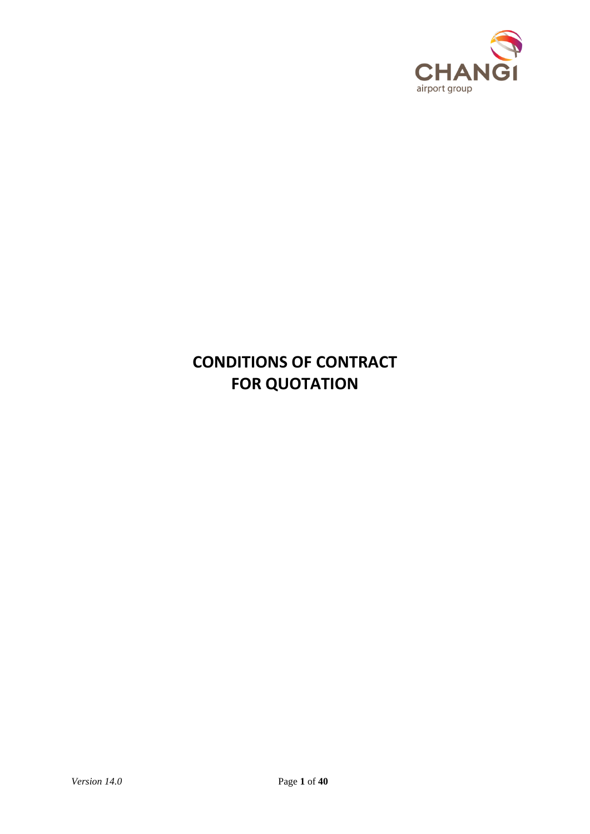

# **CONDITIONS OF CONTRACT FOR QUOTATION**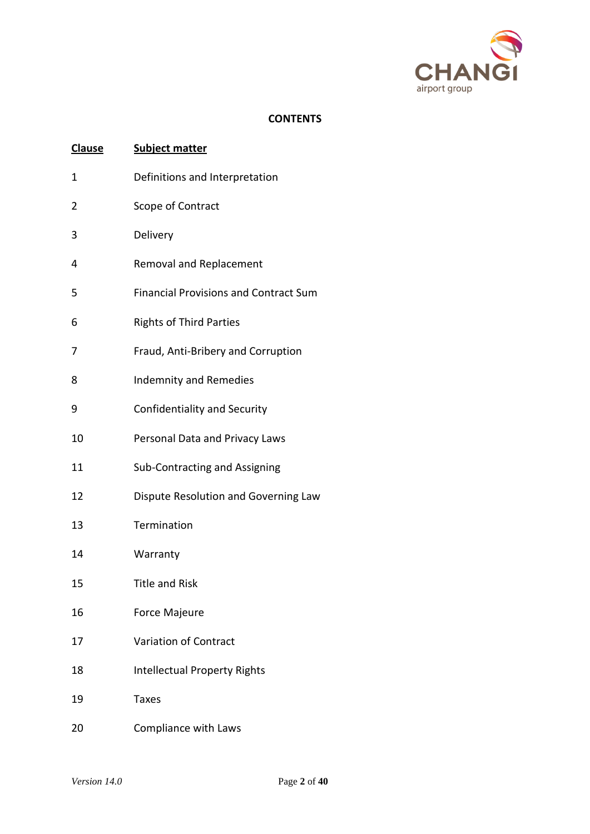

# **CONTENTS**

| <b>Clause</b> | <b>Subject matter</b>                        |
|---------------|----------------------------------------------|
| 1             | Definitions and Interpretation               |
| 2             | Scope of Contract                            |
| 3             | Delivery                                     |
| 4             | <b>Removal and Replacement</b>               |
| 5             | <b>Financial Provisions and Contract Sum</b> |
| 6             | <b>Rights of Third Parties</b>               |
| 7             | Fraud, Anti-Bribery and Corruption           |
| 8             | <b>Indemnity and Remedies</b>                |
| 9             | Confidentiality and Security                 |
| 10            | Personal Data and Privacy Laws               |
| 11            | Sub-Contracting and Assigning                |
| 12            | Dispute Resolution and Governing Law         |
| 13            | Termination                                  |
| 14            | Warranty                                     |
| 15            | <b>Title and Risk</b>                        |
| 16            | Force Majeure                                |
| 17            | <b>Variation of Contract</b>                 |
| 18            | <b>Intellectual Property Rights</b>          |
| 19            | <b>Taxes</b>                                 |
| 20            | Compliance with Laws                         |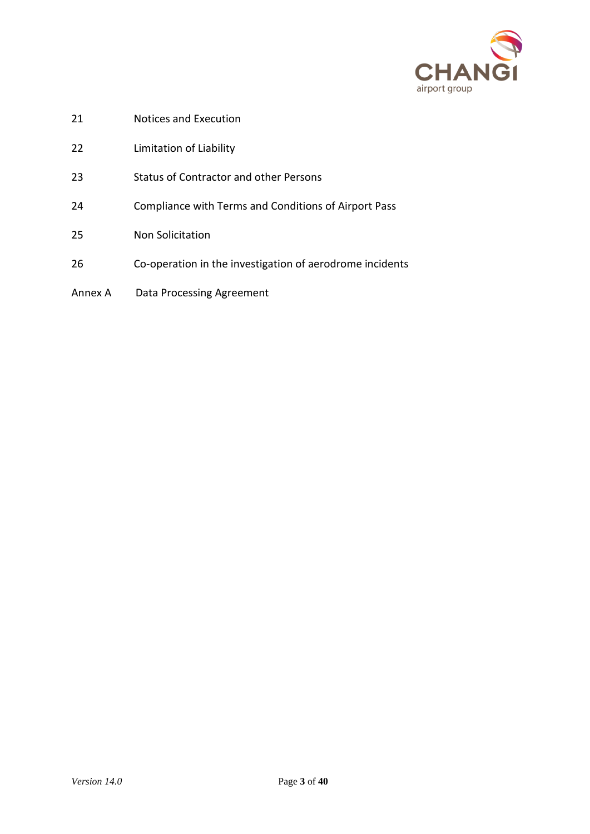

- Notices and Execution
- Limitation of Liability
- Status of Contractor and other Persons
- Compliance with Terms and Conditions of Airport Pass
- Non Solicitation
- Co-operation in the investigation of aerodrome incidents
- Annex A Data Processing Agreement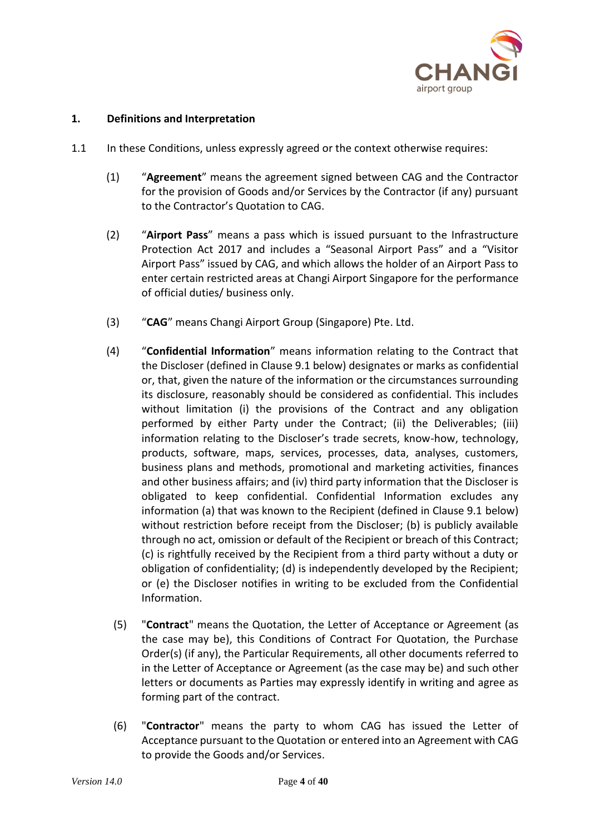

# **1. Definitions and Interpretation**

- 1.1 In these Conditions, unless expressly agreed or the context otherwise requires:
	- (1) "**Agreement**" means the agreement signed between CAG and the Contractor for the provision of Goods and/or Services by the Contractor (if any) pursuant to the Contractor's Quotation to CAG.
	- (2) "**Airport Pass**" means a pass which is issued pursuant to the Infrastructure Protection Act 2017 and includes a "Seasonal Airport Pass" and a "Visitor Airport Pass" issued by CAG, and which allows the holder of an Airport Pass to enter certain restricted areas at Changi Airport Singapore for the performance of official duties/ business only.
	- (3) "**CAG**" means Changi Airport Group (Singapore) Pte. Ltd.
	- (4) "**Confidential Information**" means information relating to the Contract that the Discloser (defined in Clause 9.1 below) designates or marks as confidential or, that, given the nature of the information or the circumstances surrounding its disclosure, reasonably should be considered as confidential. This includes without limitation (i) the provisions of the Contract and any obligation performed by either Party under the Contract; (ii) the Deliverables; (iii) information relating to the Discloser's trade secrets, know-how, technology, products, software, maps, services, processes, data, analyses, customers, business plans and methods, promotional and marketing activities, finances and other business affairs; and (iv) third party information that the Discloser is obligated to keep confidential. Confidential Information excludes any information (a) that was known to the Recipient (defined in Clause 9.1 below) without restriction before receipt from the Discloser; (b) is publicly available through no act, omission or default of the Recipient or breach of this Contract; (c) is rightfully received by the Recipient from a third party without a duty or obligation of confidentiality; (d) is independently developed by the Recipient; or (e) the Discloser notifies in writing to be excluded from the Confidential Information.
		- (5) "**Contract**" means the Quotation, the Letter of Acceptance or Agreement (as the case may be), this Conditions of Contract For Quotation, the Purchase Order(s) (if any), the Particular Requirements, all other documents referred to in the Letter of Acceptance or Agreement (as the case may be) and such other letters or documents as Parties may expressly identify in writing and agree as forming part of the contract.
		- (6) "**Contractor**" means the party to whom CAG has issued the Letter of Acceptance pursuant to the Quotation or entered into an Agreement with CAG to provide the Goods and/or Services.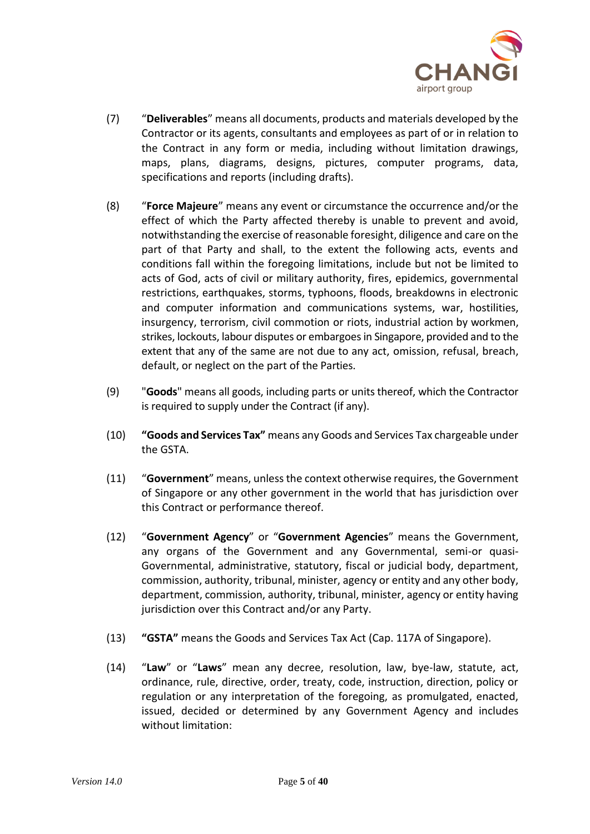

- (7) "**Deliverables**" means all documents, products and materials developed by the Contractor or its agents, consultants and employees as part of or in relation to the Contract in any form or media, including without limitation drawings, maps, plans, diagrams, designs, pictures, computer programs, data, specifications and reports (including drafts).
- (8) "**Force Majeure**" means any event or circumstance the occurrence and/or the effect of which the Party affected thereby is unable to prevent and avoid, notwithstanding the exercise of reasonable foresight, diligence and care on the part of that Party and shall, to the extent the following acts, events and conditions fall within the foregoing limitations, include but not be limited to acts of God, acts of civil or military authority, fires, epidemics, governmental restrictions, earthquakes, storms, typhoons, floods, breakdowns in electronic and computer information and communications systems, war, hostilities, insurgency, terrorism, civil commotion or riots, industrial action by workmen, strikes, lockouts, labour disputes or embargoes in Singapore, provided and to the extent that any of the same are not due to any act, omission, refusal, breach, default, or neglect on the part of the Parties.
- (9) "**Goods**" means all goods, including parts or units thereof, which the Contractor is required to supply under the Contract (if any).
- (10) **"Goods and Services Tax"** means any Goods and Services Tax chargeable under the GSTA.
- (11) "**Government**" means, unless the context otherwise requires, the Government of Singapore or any other government in the world that has jurisdiction over this Contract or performance thereof.
- (12) "**Government Agency**" or "**Government Agencies**" means the Government, any organs of the Government and any Governmental, semi-or quasi-Governmental, administrative, statutory, fiscal or judicial body, department, commission, authority, tribunal, minister, agency or entity and any other body, department, commission, authority, tribunal, minister, agency or entity having jurisdiction over this Contract and/or any Party.
- (13) **"GSTA"** means the Goods and Services Tax Act (Cap. 117A of Singapore).
- (14) "**Law**" or "**Laws**" mean any decree, resolution, law, bye-law, statute, act, ordinance, rule, directive, order, treaty, code, instruction, direction, policy or regulation or any interpretation of the foregoing, as promulgated, enacted, issued, decided or determined by any Government Agency and includes without limitation: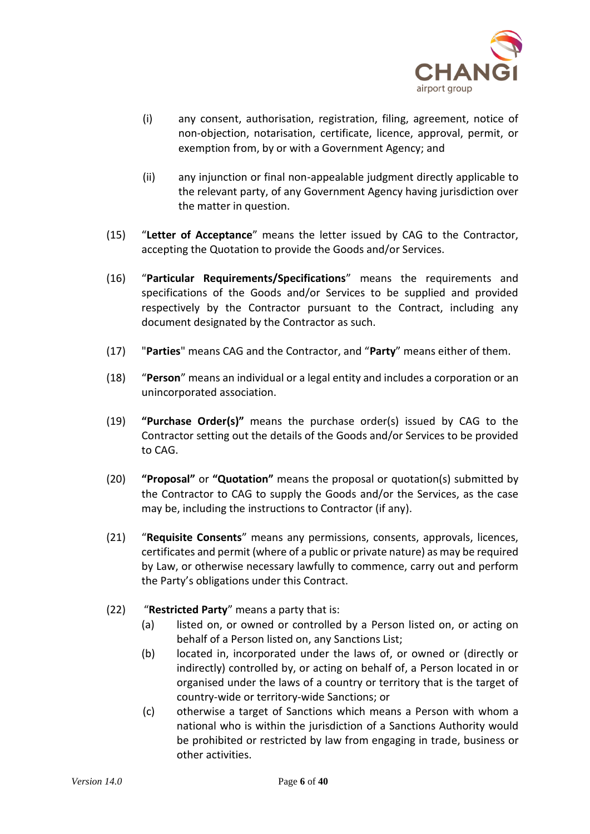

- (i) any consent, authorisation, registration, filing, agreement, notice of non-objection, notarisation, certificate, licence, approval, permit, or exemption from, by or with a Government Agency; and
- (ii) any injunction or final non-appealable judgment directly applicable to the relevant party, of any Government Agency having jurisdiction over the matter in question.
- (15) "**Letter of Acceptance**" means the letter issued by CAG to the Contractor, accepting the Quotation to provide the Goods and/or Services.
- (16) "**Particular Requirements/Specifications**" means the requirements and specifications of the Goods and/or Services to be supplied and provided respectively by the Contractor pursuant to the Contract, including any document designated by the Contractor as such.
- (17) "**Parties**" means CAG and the Contractor, and "**Party**" means either of them.
- (18) "**Person**" means an individual or a legal entity and includes a corporation or an unincorporated association.
- (19) **"Purchase Order(s)"** means the purchase order(s) issued by CAG to the Contractor setting out the details of the Goods and/or Services to be provided to CAG.
- (20) **"Proposal"** or **"Quotation"** means the proposal or quotation(s) submitted by the Contractor to CAG to supply the Goods and/or the Services, as the case may be, including the instructions to Contractor (if any).
- (21) "**Requisite Consents**" means any permissions, consents, approvals, licences, certificates and permit (where of a public or private nature) as may be required by Law, or otherwise necessary lawfully to commence, carry out and perform the Party's obligations under this Contract.
- (22) "**Restricted Party**" means a party that is:
	- (a) listed on, or owned or controlled by a Person listed on, or acting on behalf of a Person listed on, any Sanctions List;
	- (b) located in, incorporated under the laws of, or owned or (directly or indirectly) controlled by, or acting on behalf of, a Person located in or organised under the laws of a country or territory that is the target of country-wide or territory-wide Sanctions; or
	- (c) otherwise a target of Sanctions which means a Person with whom a national who is within the jurisdiction of a Sanctions Authority would be prohibited or restricted by law from engaging in trade, business or other activities.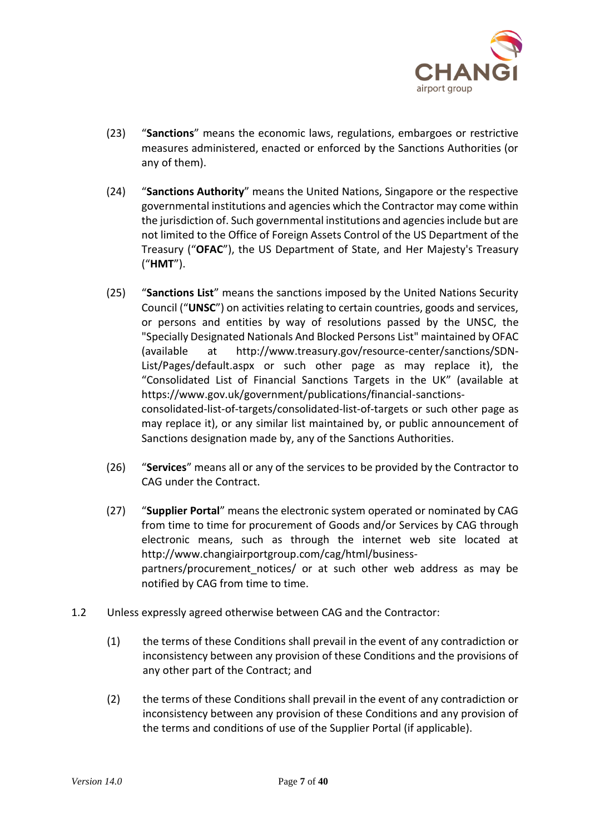

- (23) "**Sanctions**" means the economic laws, regulations, embargoes or restrictive measures administered, enacted or enforced by the Sanctions Authorities (or any of them).
- (24) "**Sanctions Authority**" means the United Nations, Singapore or the respective governmental institutions and agencies which the Contractor may come within the jurisdiction of. Such governmental institutions and agencies include but are not limited to the Office of Foreign Assets Control of the US Department of the Treasury ("**OFAC**"), the US Department of State, and Her Majesty's Treasury ("**HMT**").
- (25) "**Sanctions List**" means the sanctions imposed by the United Nations Security Council ("**UNSC**") on activities relating to certain countries, goods and services, or persons and entities by way of resolutions passed by the UNSC, the "Specially Designated Nationals And Blocked Persons List" maintained by OFAC (available at http://www.treasury.gov/resource-center/sanctions/SDN-List/Pages/default.aspx or such other page as may replace it), the "Consolidated List of Financial Sanctions Targets in the UK" (available at https://www.gov.uk/government/publications/financial-sanctionsconsolidated-list-of-targets/consolidated-list-of-targets or such other page as may replace it), or any similar list maintained by, or public announcement of Sanctions designation made by, any of the Sanctions Authorities.
- (26) "**Services**" means all or any of the services to be provided by the Contractor to CAG under the Contract.
- (27) "**Supplier Portal**" means the electronic system operated or nominated by CAG from time to time for procurement of Goods and/or Services by CAG through electronic means, such as through the internet web site located at http://www.changiairportgroup.com/cag/html/businesspartners/procurement notices/ or at such other web address as may be notified by CAG from time to time.
- 1.2 Unless expressly agreed otherwise between CAG and the Contractor:
	- (1) the terms of these Conditions shall prevail in the event of any contradiction or inconsistency between any provision of these Conditions and the provisions of any other part of the Contract; and
	- (2) the terms of these Conditions shall prevail in the event of any contradiction or inconsistency between any provision of these Conditions and any provision of the terms and conditions of use of the Supplier Portal (if applicable).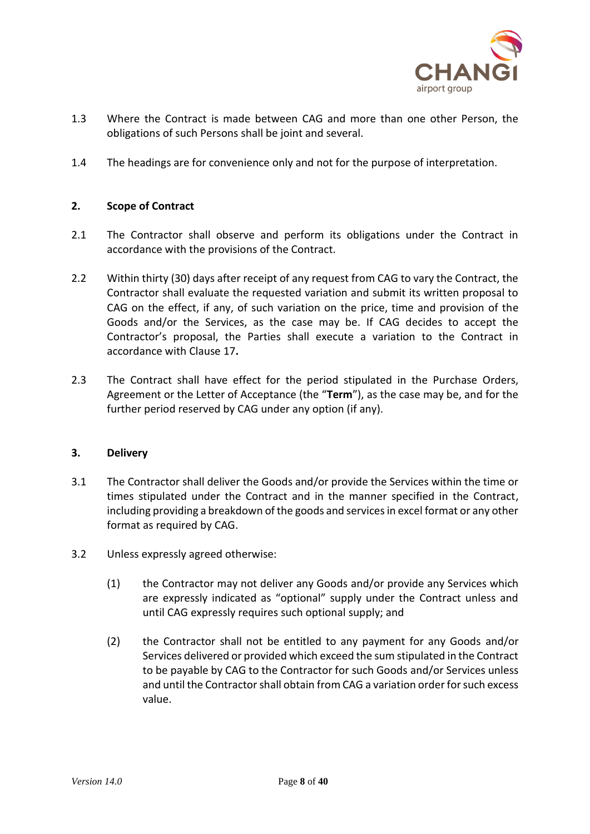

- 1.3 Where the Contract is made between CAG and more than one other Person, the obligations of such Persons shall be joint and several.
- 1.4 The headings are for convenience only and not for the purpose of interpretation.

# **2. Scope of Contract**

- 2.1 The Contractor shall observe and perform its obligations under the Contract in accordance with the provisions of the Contract.
- 2.2 Within thirty (30) days after receipt of any request from CAG to vary the Contract, the Contractor shall evaluate the requested variation and submit its written proposal to CAG on the effect, if any, of such variation on the price, time and provision of the Goods and/or the Services, as the case may be. If CAG decides to accept the Contractor's proposal, the Parties shall execute a variation to the Contract in accordance with Clause 17**.**
- 2.3 The Contract shall have effect for the period stipulated in the Purchase Orders, Agreement or the Letter of Acceptance (the "**Term**"), as the case may be, and for the further period reserved by CAG under any option (if any).

# **3. Delivery**

- 3.1 The Contractor shall deliver the Goods and/or provide the Services within the time or times stipulated under the Contract and in the manner specified in the Contract, including providing a breakdown of the goods and services in excel format or any other format as required by CAG.
- 3.2 Unless expressly agreed otherwise:
	- (1) the Contractor may not deliver any Goods and/or provide any Services which are expressly indicated as "optional" supply under the Contract unless and until CAG expressly requires such optional supply; and
	- (2) the Contractor shall not be entitled to any payment for any Goods and/or Services delivered or provided which exceed the sum stipulated in the Contract to be payable by CAG to the Contractor for such Goods and/or Services unless and until the Contractor shall obtain from CAG a variation order for such excess value.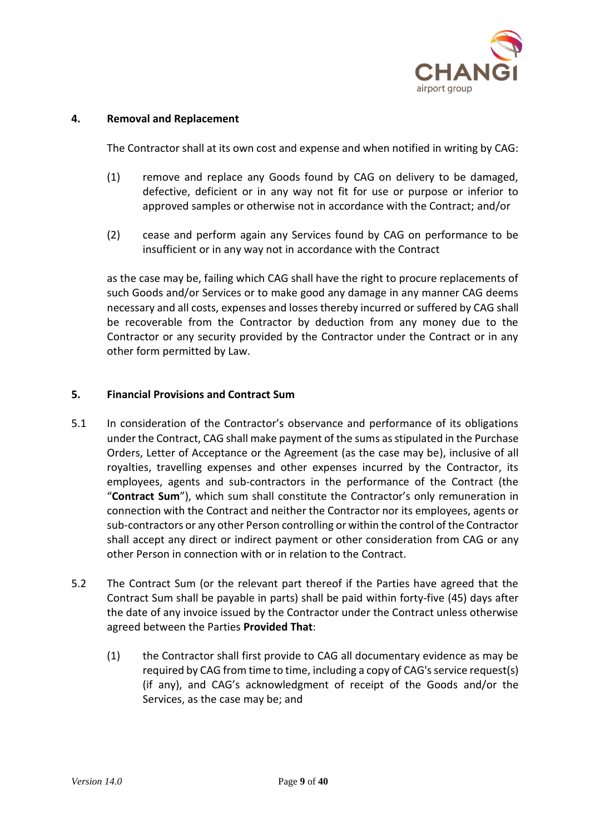

# **4. Removal and Replacement**

The Contractor shall at its own cost and expense and when notified in writing by CAG:

- (1) remove and replace any Goods found by CAG on delivery to be damaged, defective, deficient or in any way not fit for use or purpose or inferior to approved samples or otherwise not in accordance with the Contract; and/or
- (2) cease and perform again any Services found by CAG on performance to be insufficient or in any way not in accordance with the Contract

as the case may be, failing which CAG shall have the right to procure replacements of such Goods and/or Services or to make good any damage in any manner CAG deems necessary and all costs, expenses and losses thereby incurred or suffered by CAG shall be recoverable from the Contractor by deduction from any money due to the Contractor or any security provided by the Contractor under the Contract or in any other form permitted by Law.

# **5. Financial Provisions and Contract Sum**

- 5.1 In consideration of the Contractor's observance and performance of its obligations under the Contract, CAG shall make payment of the sums as stipulated in the Purchase Orders, Letter of Acceptance or the Agreement (as the case may be), inclusive of all royalties, travelling expenses and other expenses incurred by the Contractor, its employees, agents and sub-contractors in the performance of the Contract (the "**Contract Sum**"), which sum shall constitute the Contractor's only remuneration in connection with the Contract and neither the Contractor nor its employees, agents or sub-contractors or any other Person controlling or within the control of the Contractor shall accept any direct or indirect payment or other consideration from CAG or any other Person in connection with or in relation to the Contract.
- 5.2 The Contract Sum (or the relevant part thereof if the Parties have agreed that the Contract Sum shall be payable in parts) shall be paid within forty-five (45) days after the date of any invoice issued by the Contractor under the Contract unless otherwise agreed between the Parties **Provided That**:
	- (1) the Contractor shall first provide to CAG all documentary evidence as may be required by CAG from time to time, including a copy of CAG's service request(s) (if any), and CAG's acknowledgment of receipt of the Goods and/or the Services, as the case may be; and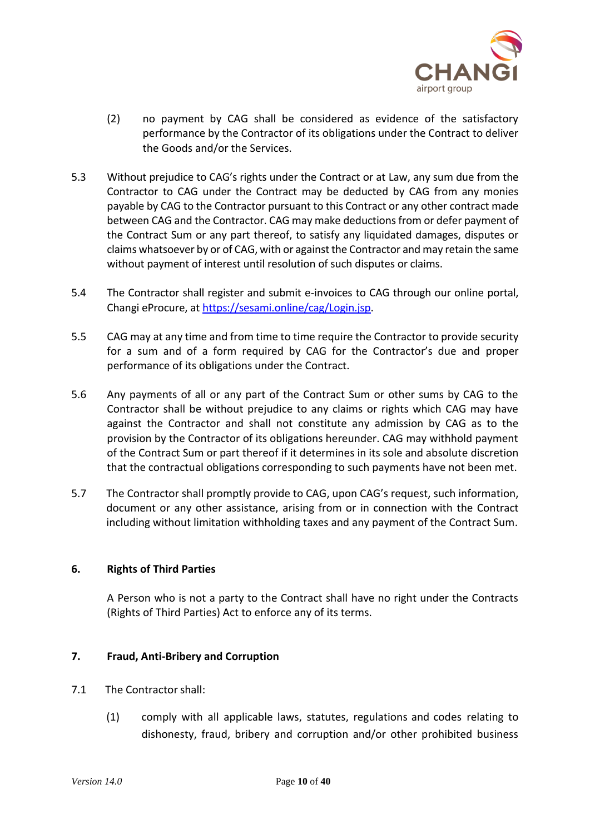

- (2) no payment by CAG shall be considered as evidence of the satisfactory performance by the Contractor of its obligations under the Contract to deliver the Goods and/or the Services.
- 5.3 Without prejudice to CAG's rights under the Contract or at Law, any sum due from the Contractor to CAG under the Contract may be deducted by CAG from any monies payable by CAG to the Contractor pursuant to this Contract or any other contract made between CAG and the Contractor. CAG may make deductions from or defer payment of the Contract Sum or any part thereof, to satisfy any liquidated damages, disputes or claims whatsoever by or of CAG, with or against the Contractor and may retain the same without payment of interest until resolution of such disputes or claims.
- 5.4 The Contractor shall register and submit e-invoices to CAG through our online portal, Changi eProcure, at [https://sesami.online/cag/Login.jsp.](https://sesami.online/cag/Login.jsp)
- 5.5 CAG may at any time and from time to time require the Contractor to provide security for a sum and of a form required by CAG for the Contractor's due and proper performance of its obligations under the Contract.
- 5.6 Any payments of all or any part of the Contract Sum or other sums by CAG to the Contractor shall be without prejudice to any claims or rights which CAG may have against the Contractor and shall not constitute any admission by CAG as to the provision by the Contractor of its obligations hereunder. CAG may withhold payment of the Contract Sum or part thereof if it determines in its sole and absolute discretion that the contractual obligations corresponding to such payments have not been met.
- 5.7 The Contractor shall promptly provide to CAG, upon CAG's request, such information, document or any other assistance, arising from or in connection with the Contract including without limitation withholding taxes and any payment of the Contract Sum.

# **6. Rights of Third Parties**

A Person who is not a party to the Contract shall have no right under the Contracts (Rights of Third Parties) Act to enforce any of its terms.

# **7. Fraud, Anti-Bribery and Corruption**

- 7.1 The Contractor shall:
	- (1) comply with all applicable laws, statutes, regulations and codes relating to dishonesty, fraud, bribery and corruption and/or other prohibited business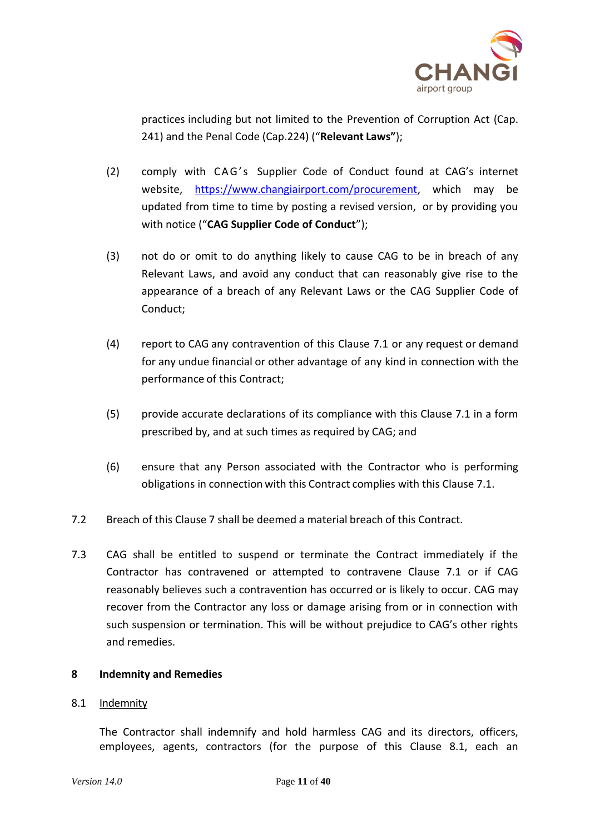

practices including but not limited to the Prevention of Corruption Act (Cap. 241) and the Penal Code (Cap.224) ("**Relevant Laws"**);

- (2) comply with CAG's Supplier Code of Conduct found at CAG's internet website, [https://www.changiairport.com/procurement,](https://www.changiairport.com/procurement) which may be updated from time to time by posting a revised version, or by providing you with notice ("**CAG Supplier Code of Conduct**");
- (3) not do or omit to do anything likely to cause CAG to be in breach of any Relevant Laws, and avoid any conduct that can reasonably give rise to the appearance of a breach of any Relevant Laws or the CAG Supplier Code of Conduct;
- (4) report to CAG any contravention of this Clause 7.1 or any request or demand for any undue financial or other advantage of any kind in connection with the performance of this Contract;
- (5) provide accurate declarations of its compliance with this Clause 7.1 in a form prescribed by, and at such times as required by CAG; and
- (6) ensure that any Person associated with the Contractor who is performing obligations in connection with this Contract complies with this Clause 7.1.
- 7.2 Breach of this Clause 7 shall be deemed a material breach of this Contract.
- 7.3 CAG shall be entitled to suspend or terminate the Contract immediately if the Contractor has contravened or attempted to contravene Clause 7.1 or if CAG reasonably believes such a contravention has occurred or is likely to occur. CAG may recover from the Contractor any loss or damage arising from or in connection with such suspension or termination. This will be without prejudice to CAG's other rights and remedies.

# **8 Indemnity and Remedies**

# 8.1 Indemnity

The Contractor shall indemnify and hold harmless CAG and its directors, officers, employees, agents, contractors (for the purpose of this Clause 8.1, each an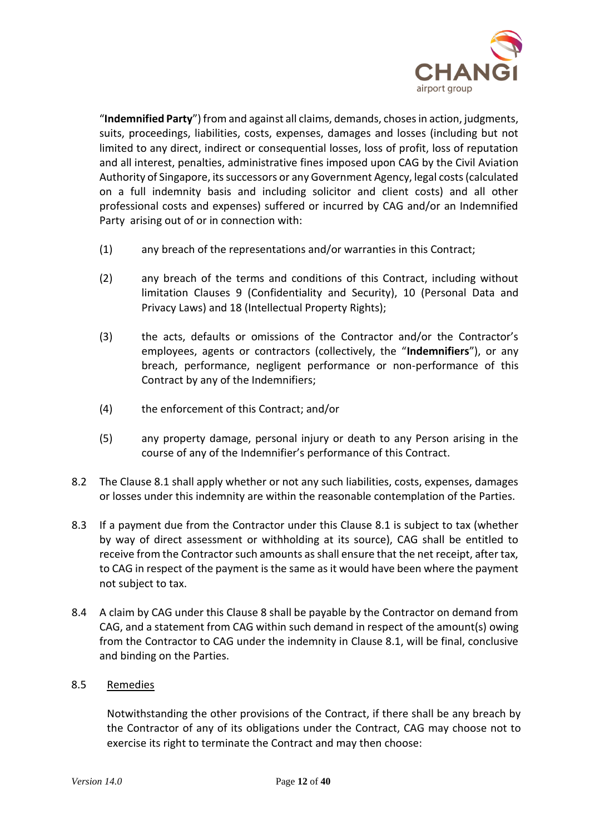

"**Indemnified Party**") from and against all claims, demands, choses in action, judgments, suits, proceedings, liabilities, costs, expenses, damages and losses (including but not limited to any direct, indirect or consequential losses, loss of profit, loss of reputation and all interest, penalties, administrative fines imposed upon CAG by the Civil Aviation Authority of Singapore, its successors or any Government Agency, legal costs (calculated on a full indemnity basis and including solicitor and client costs) and all other professional costs and expenses) suffered or incurred by CAG and/or an Indemnified Party arising out of or in connection with:

- (1) any breach of the representations and/or warranties in this Contract;
- (2) any breach of the terms and conditions of this Contract, including without limitation Clauses 9 (Confidentiality and Security), 10 (Personal Data and Privacy Laws) and 18 (Intellectual Property Rights);
- (3) the acts, defaults or omissions of the Contractor and/or the Contractor's employees, agents or contractors (collectively, the "**Indemnifiers**"), or any breach, performance, negligent performance or non-performance of this Contract by any of the Indemnifiers;
- (4) the enforcement of this Contract; and/or
- (5) any property damage, personal injury or death to any Person arising in the course of any of the Indemnifier's performance of this Contract.
- 8.2 The Clause 8.1 shall apply whether or not any such liabilities, costs, expenses, damages or losses under this indemnity are within the reasonable contemplation of the Parties.
- 8.3 If a payment due from the Contractor under this Clause 8.1 is subject to tax (whether by way of direct assessment or withholding at its source), CAG shall be entitled to receive from the Contractor such amounts as shall ensure that the net receipt, after tax, to CAG in respect of the payment is the same as it would have been where the payment not subject to tax.
- 8.4 A claim by CAG under this Clause 8 shall be payable by the Contractor on demand from CAG, and a statement from CAG within such demand in respect of the amount(s) owing from the Contractor to CAG under the indemnity in Clause 8.1, will be final, conclusive and binding on the Parties.

# 8.5 Remedies

Notwithstanding the other provisions of the Contract, if there shall be any breach by the Contractor of any of its obligations under the Contract, CAG may choose not to exercise its right to terminate the Contract and may then choose: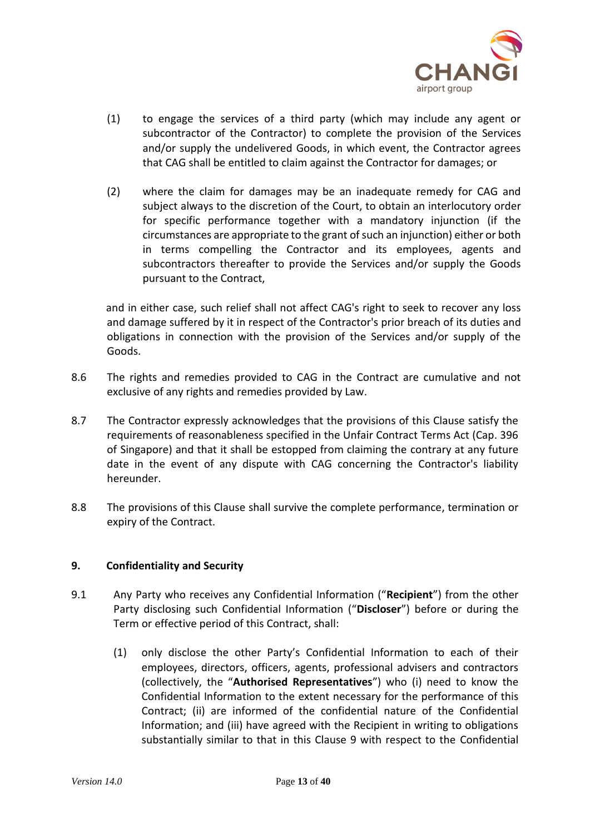

- (1) to engage the services of a third party (which may include any agent or subcontractor of the Contractor) to complete the provision of the Services and/or supply the undelivered Goods, in which event, the Contractor agrees that CAG shall be entitled to claim against the Contractor for damages; or
- (2) where the claim for damages may be an inadequate remedy for CAG and subject always to the discretion of the Court, to obtain an interlocutory order for specific performance together with a mandatory injunction (if the circumstances are appropriate to the grant of such an injunction) either or both in terms compelling the Contractor and its employees, agents and subcontractors thereafter to provide the Services and/or supply the Goods pursuant to the Contract,

and in either case, such relief shall not affect CAG's right to seek to recover any loss and damage suffered by it in respect of the Contractor's prior breach of its duties and obligations in connection with the provision of the Services and/or supply of the Goods.

- 8.6 The rights and remedies provided to CAG in the Contract are cumulative and not exclusive of any rights and remedies provided by Law.
- 8.7 The Contractor expressly acknowledges that the provisions of this Clause satisfy the requirements of reasonableness specified in the Unfair Contract Terms Act (Cap. 396 of Singapore) and that it shall be estopped from claiming the contrary at any future date in the event of any dispute with CAG concerning the Contractor's liability hereunder.
- 8.8 The provisions of this Clause shall survive the complete performance, termination or expiry of the Contract.

# **9. Confidentiality and Security**

- 9.1 Any Party who receives any Confidential Information ("**Recipient**") from the other Party disclosing such Confidential Information ("**Discloser**") before or during the Term or effective period of this Contract, shall:
	- (1) only disclose the other Party's Confidential Information to each of their employees, directors, officers, agents, professional advisers and contractors (collectively, the "**Authorised Representatives**") who (i) need to know the Confidential Information to the extent necessary for the performance of this Contract; (ii) are informed of the confidential nature of the Confidential Information; and (iii) have agreed with the Recipient in writing to obligations substantially similar to that in this Clause 9 with respect to the Confidential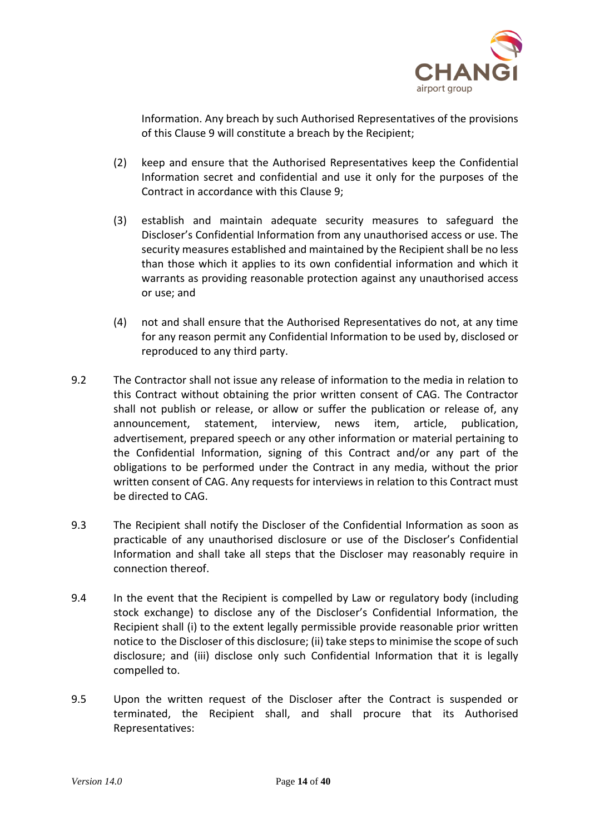

Information. Any breach by such Authorised Representatives of the provisions of this Clause 9 will constitute a breach by the Recipient;

- (2) keep and ensure that the Authorised Representatives keep the Confidential Information secret and confidential and use it only for the purposes of the Contract in accordance with this Clause 9;
- (3) establish and maintain adequate security measures to safeguard the Discloser's Confidential Information from any unauthorised access or use. The security measures established and maintained by the Recipient shall be no less than those which it applies to its own confidential information and which it warrants as providing reasonable protection against any unauthorised access or use; and
- (4) not and shall ensure that the Authorised Representatives do not, at any time for any reason permit any Confidential Information to be used by, disclosed or reproduced to any third party.
- 9.2 The Contractor shall not issue any release of information to the media in relation to this Contract without obtaining the prior written consent of CAG. The Contractor shall not publish or release, or allow or suffer the publication or release of, any announcement, statement, interview, news item, article, publication, advertisement, prepared speech or any other information or material pertaining to the Confidential Information, signing of this Contract and/or any part of the obligations to be performed under the Contract in any media, without the prior written consent of CAG. Any requests for interviews in relation to this Contract must be directed to CAG.
- 9.3 The Recipient shall notify the Discloser of the Confidential Information as soon as practicable of any unauthorised disclosure or use of the Discloser's Confidential Information and shall take all steps that the Discloser may reasonably require in connection thereof.
- 9.4 In the event that the Recipient is compelled by Law or regulatory body (including stock exchange) to disclose any of the Discloser's Confidential Information, the Recipient shall (i) to the extent legally permissible provide reasonable prior written notice to the Discloser of this disclosure; (ii) take steps to minimise the scope of such disclosure; and (iii) disclose only such Confidential Information that it is legally compelled to.
- 9.5 Upon the written request of the Discloser after the Contract is suspended or terminated, the Recipient shall, and shall procure that its Authorised Representatives: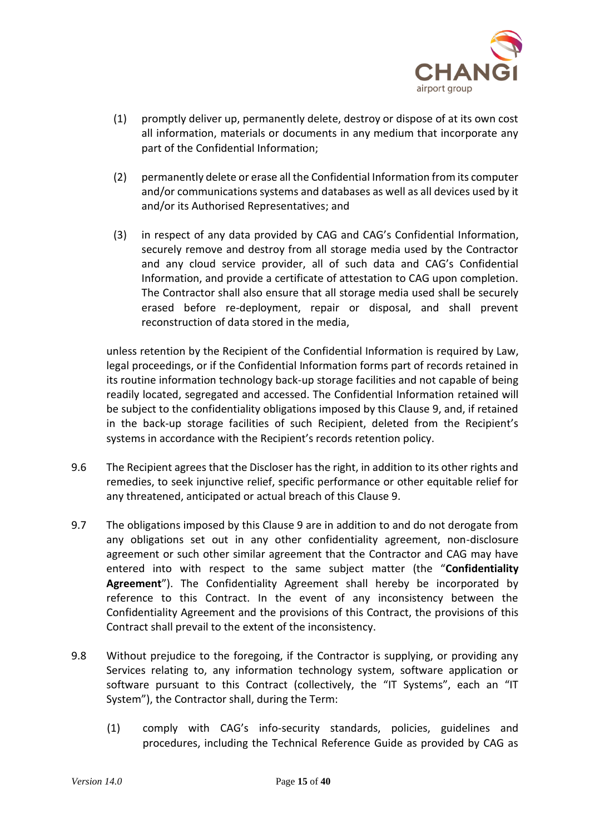

- (1) promptly deliver up, permanently delete, destroy or dispose of at its own cost all information, materials or documents in any medium that incorporate any part of the Confidential Information;
- (2) permanently delete or erase all the Confidential Information from its computer and/or communications systems and databases as well as all devices used by it and/or its Authorised Representatives; and
- (3) in respect of any data provided by CAG and CAG's Confidential Information, securely remove and destroy from all storage media used by the Contractor and any cloud service provider, all of such data and CAG's Confidential Information, and provide a certificate of attestation to CAG upon completion. The Contractor shall also ensure that all storage media used shall be securely erased before re-deployment, repair or disposal, and shall prevent reconstruction of data stored in the media,

unless retention by the Recipient of the Confidential Information is required by Law, legal proceedings, or if the Confidential Information forms part of records retained in its routine information technology back-up storage facilities and not capable of being readily located, segregated and accessed. The Confidential Information retained will be subject to the confidentiality obligations imposed by this Clause 9, and, if retained in the back-up storage facilities of such Recipient, deleted from the Recipient's systems in accordance with the Recipient's records retention policy.

- 9.6 The Recipient agrees that the Discloser has the right, in addition to its other rights and remedies, to seek injunctive relief, specific performance or other equitable relief for any threatened, anticipated or actual breach of this Clause 9.
- 9.7 The obligations imposed by this Clause 9 are in addition to and do not derogate from any obligations set out in any other confidentiality agreement, non-disclosure agreement or such other similar agreement that the Contractor and CAG may have entered into with respect to the same subject matter (the "**Confidentiality Agreement**"). The Confidentiality Agreement shall hereby be incorporated by reference to this Contract. In the event of any inconsistency between the Confidentiality Agreement and the provisions of this Contract, the provisions of this Contract shall prevail to the extent of the inconsistency.
- 9.8 Without prejudice to the foregoing, if the Contractor is supplying, or providing any Services relating to, any information technology system, software application or software pursuant to this Contract (collectively, the "IT Systems", each an "IT System"), the Contractor shall, during the Term:
	- (1) comply with CAG's info-security standards, policies, guidelines and procedures, including the Technical Reference Guide as provided by CAG as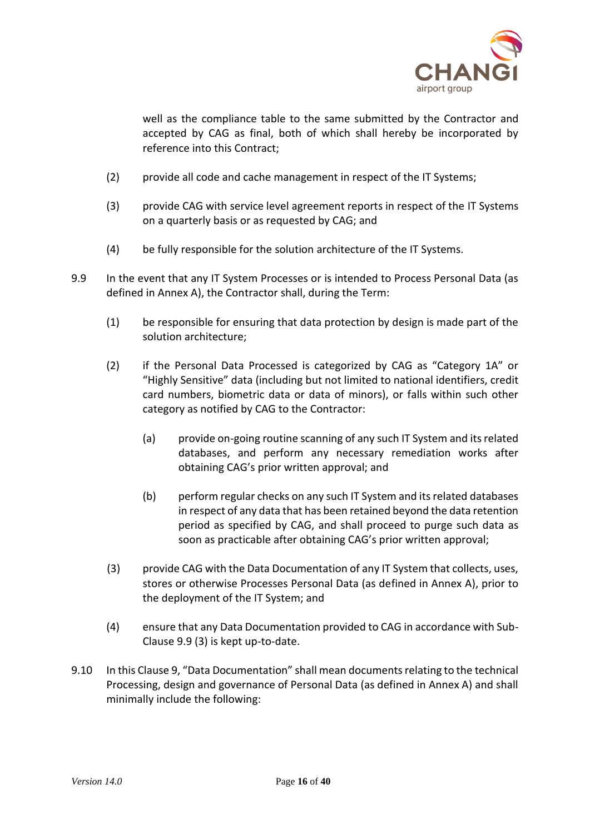

well as the compliance table to the same submitted by the Contractor and accepted by CAG as final, both of which shall hereby be incorporated by reference into this Contract;

- (2) provide all code and cache management in respect of the IT Systems;
- (3) provide CAG with service level agreement reports in respect of the IT Systems on a quarterly basis or as requested by CAG; and
- (4) be fully responsible for the solution architecture of the IT Systems.
- 9.9 In the event that any IT System Processes or is intended to Process Personal Data (as defined in Annex A), the Contractor shall, during the Term:
	- (1) be responsible for ensuring that data protection by design is made part of the solution architecture;
	- (2) if the Personal Data Processed is categorized by CAG as "Category 1A" or "Highly Sensitive" data (including but not limited to national identifiers, credit card numbers, biometric data or data of minors), or falls within such other category as notified by CAG to the Contractor:
		- (a) provide on-going routine scanning of any such IT System and its related databases, and perform any necessary remediation works after obtaining CAG's prior written approval; and
		- (b) perform regular checks on any such IT System and its related databases in respect of any data that has been retained beyond the data retention period as specified by CAG, and shall proceed to purge such data as soon as practicable after obtaining CAG's prior written approval;
	- (3) provide CAG with the Data Documentation of any IT System that collects, uses, stores or otherwise Processes Personal Data (as defined in Annex A), prior to the deployment of the IT System; and
	- (4) ensure that any Data Documentation provided to CAG in accordance with Sub-Clause 9.9 (3) is kept up-to-date.
- 9.10 In this Clause 9, "Data Documentation" shall mean documents relating to the technical Processing, design and governance of Personal Data (as defined in Annex A) and shall minimally include the following: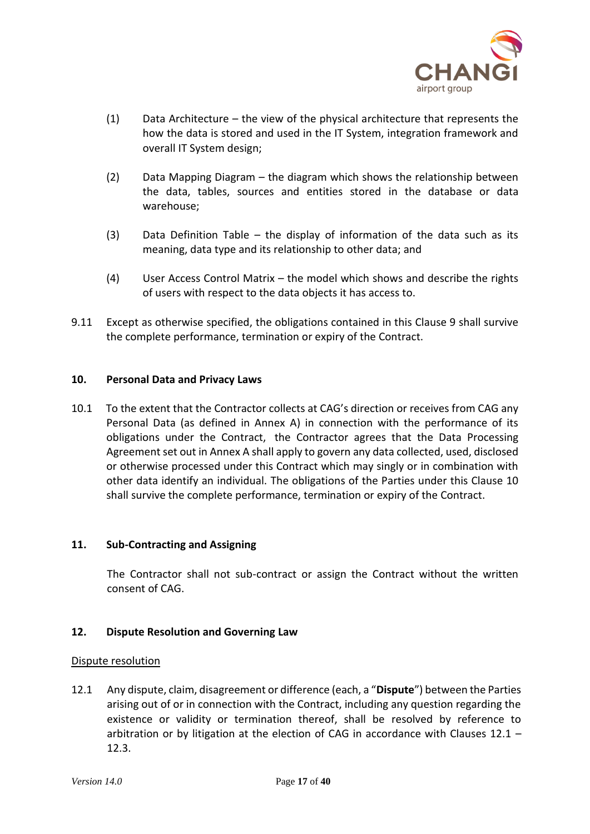

- (1) Data Architecture the view of the physical architecture that represents the how the data is stored and used in the IT System, integration framework and overall IT System design;
- (2) Data Mapping Diagram the diagram which shows the relationship between the data, tables, sources and entities stored in the database or data warehouse;
- (3) Data Definition Table the display of information of the data such as its meaning, data type and its relationship to other data; and
- (4) User Access Control Matrix the model which shows and describe the rights of users with respect to the data objects it has access to.
- 9.11 Except as otherwise specified, the obligations contained in this Clause 9 shall survive the complete performance, termination or expiry of the Contract.

# **10. Personal Data and Privacy Laws**

10.1 To the extent that the Contractor collects at CAG's direction or receives from CAG any Personal Data (as defined in Annex A) in connection with the performance of its obligations under the Contract, the Contractor agrees that the Data Processing Agreement set out in Annex A shall apply to govern any data collected, used, disclosed or otherwise processed under this Contract which may singly or in combination with other data identify an individual. The obligations of the Parties under this Clause 10 shall survive the complete performance, termination or expiry of the Contract.

# **11. Sub-Contracting and Assigning**

The Contractor shall not sub-contract or assign the Contract without the written consent of CAG.

# **12. Dispute Resolution and Governing Law**

# Dispute resolution

12.1 Any dispute, claim, disagreement or difference (each, a "**Dispute**") between the Parties arising out of or in connection with the Contract, including any question regarding the existence or validity or termination thereof, shall be resolved by reference to arbitration or by litigation at the election of CAG in accordance with Clauses  $12.1 -$ 12.3.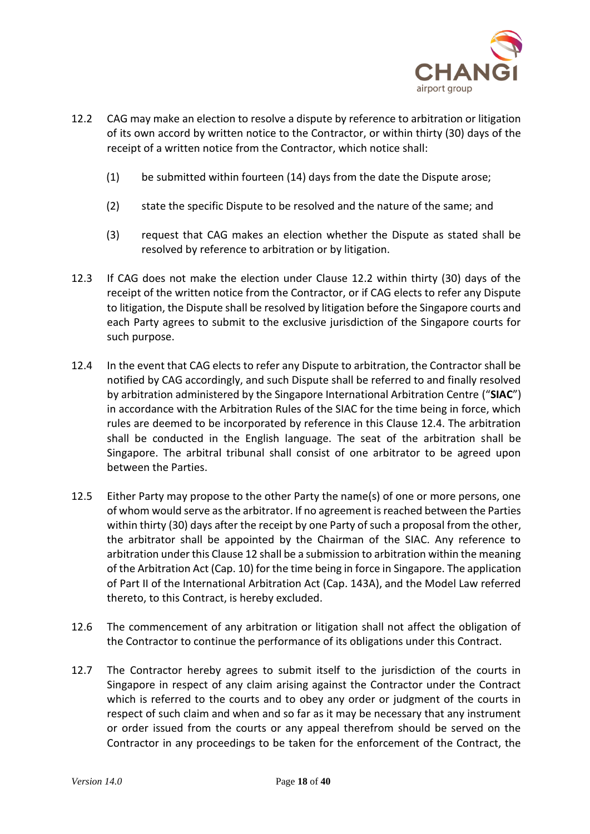

- 12.2 CAG may make an election to resolve a dispute by reference to arbitration or litigation of its own accord by written notice to the Contractor, or within thirty (30) days of the receipt of a written notice from the Contractor, which notice shall:
	- (1) be submitted within fourteen (14) days from the date the Dispute arose;
	- (2) state the specific Dispute to be resolved and the nature of the same; and
	- (3) request that CAG makes an election whether the Dispute as stated shall be resolved by reference to arbitration or by litigation.
- 12.3 If CAG does not make the election under Clause 12.2 within thirty (30) days of the receipt of the written notice from the Contractor, or if CAG elects to refer any Dispute to litigation, the Dispute shall be resolved by litigation before the Singapore courts and each Party agrees to submit to the exclusive jurisdiction of the Singapore courts for such purpose.
- 12.4 In the event that CAG elects to refer any Dispute to arbitration, the Contractor shall be notified by CAG accordingly, and such Dispute shall be referred to and finally resolved by arbitration administered by the Singapore International Arbitration Centre ("**SIAC**") in accordance with the Arbitration Rules of the SIAC for the time being in force, which rules are deemed to be incorporated by reference in this Clause 12.4. The arbitration shall be conducted in the English language. The seat of the arbitration shall be Singapore. The arbitral tribunal shall consist of one arbitrator to be agreed upon between the Parties.
- 12.5 Either Party may propose to the other Party the name(s) of one or more persons, one of whom would serve as the arbitrator. If no agreement is reached between the Parties within thirty (30) days after the receipt by one Party of such a proposal from the other, the arbitrator shall be appointed by the Chairman of the SIAC. Any reference to arbitration under this Clause 12 shall be a submission to arbitration within the meaning of the Arbitration Act (Cap. 10) for the time being in force in Singapore. The application of Part II of the International Arbitration Act (Cap. 143A), and the Model Law referred thereto, to this Contract, is hereby excluded.
- 12.6 The commencement of any arbitration or litigation shall not affect the obligation of the Contractor to continue the performance of its obligations under this Contract.
- 12.7 The Contractor hereby agrees to submit itself to the jurisdiction of the courts in Singapore in respect of any claim arising against the Contractor under the Contract which is referred to the courts and to obey any order or judgment of the courts in respect of such claim and when and so far as it may be necessary that any instrument or order issued from the courts or any appeal therefrom should be served on the Contractor in any proceedings to be taken for the enforcement of the Contract, the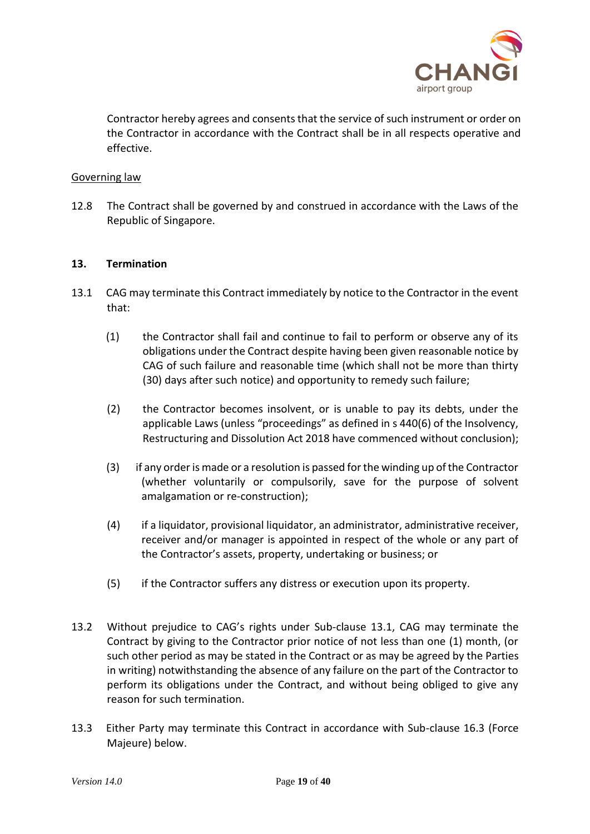

Contractor hereby agrees and consents that the service of such instrument or order on the Contractor in accordance with the Contract shall be in all respects operative and effective.

### Governing law

12.8 The Contract shall be governed by and construed in accordance with the Laws of the Republic of Singapore.

### **13. Termination**

- 13.1 CAG may terminate this Contract immediately by notice to the Contractor in the event that:
	- (1) the Contractor shall fail and continue to fail to perform or observe any of its obligations under the Contract despite having been given reasonable notice by CAG of such failure and reasonable time (which shall not be more than thirty (30) days after such notice) and opportunity to remedy such failure;
	- (2) the Contractor becomes insolvent, or is unable to pay its debts, under the applicable Laws (unless "proceedings" as defined in s 440(6) of the Insolvency, Restructuring and Dissolution Act 2018 have commenced without conclusion);
	- (3) if any order is made or a resolution is passed for the winding up of the Contractor (whether voluntarily or compulsorily, save for the purpose of solvent amalgamation or re-construction);
	- (4) if a liquidator, provisional liquidator, an administrator, administrative receiver, receiver and/or manager is appointed in respect of the whole or any part of the Contractor's assets, property, undertaking or business; or
	- (5) if the Contractor suffers any distress or execution upon its property.
- 13.2 Without prejudice to CAG's rights under Sub-clause 13.1, CAG may terminate the Contract by giving to the Contractor prior notice of not less than one (1) month, (or such other period as may be stated in the Contract or as may be agreed by the Parties in writing) notwithstanding the absence of any failure on the part of the Contractor to perform its obligations under the Contract, and without being obliged to give any reason for such termination.
- 13.3 Either Party may terminate this Contract in accordance with Sub-clause 16.3 (Force Majeure) below.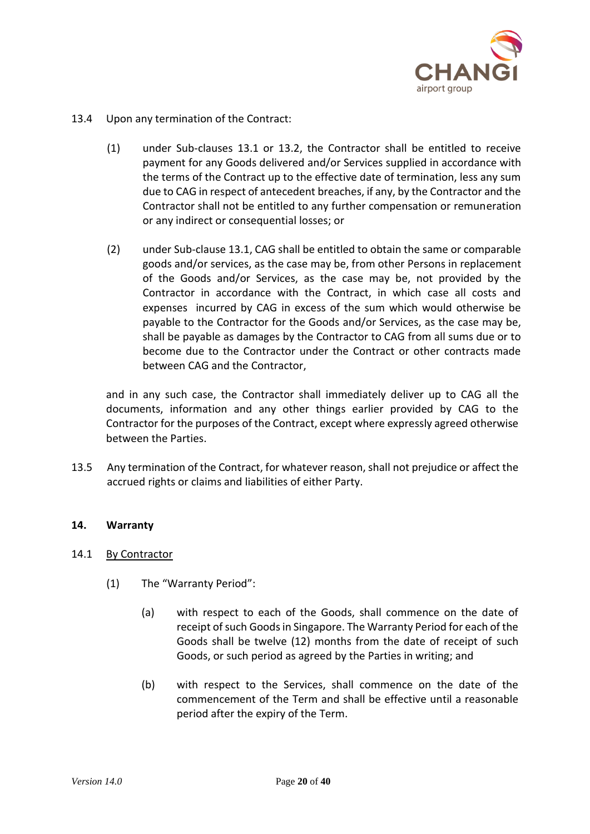

- 13.4 Upon any termination of the Contract:
	- (1) under Sub-clauses 13.1 or 13.2, the Contractor shall be entitled to receive payment for any Goods delivered and/or Services supplied in accordance with the terms of the Contract up to the effective date of termination, less any sum due to CAG in respect of antecedent breaches, if any, by the Contractor and the Contractor shall not be entitled to any further compensation or remuneration or any indirect or consequential losses; or
	- (2) under Sub-clause 13.1, CAG shall be entitled to obtain the same or comparable goods and/or services, as the case may be, from other Persons in replacement of the Goods and/or Services, as the case may be, not provided by the Contractor in accordance with the Contract, in which case all costs and expenses incurred by CAG in excess of the sum which would otherwise be payable to the Contractor for the Goods and/or Services, as the case may be, shall be payable as damages by the Contractor to CAG from all sums due or to become due to the Contractor under the Contract or other contracts made between CAG and the Contractor,

and in any such case, the Contractor shall immediately deliver up to CAG all the documents, information and any other things earlier provided by CAG to the Contractor for the purposes of the Contract, except where expressly agreed otherwise between the Parties.

13.5 Any termination of the Contract, for whatever reason, shall not prejudice or affect the accrued rights or claims and liabilities of either Party.

# **14. Warranty**

# 14.1 By Contractor

- (1) The "Warranty Period":
	- (a) with respect to each of the Goods, shall commence on the date of receipt of such Goods in Singapore. The Warranty Period for each of the Goods shall be twelve (12) months from the date of receipt of such Goods, or such period as agreed by the Parties in writing; and
	- (b) with respect to the Services, shall commence on the date of the commencement of the Term and shall be effective until a reasonable period after the expiry of the Term.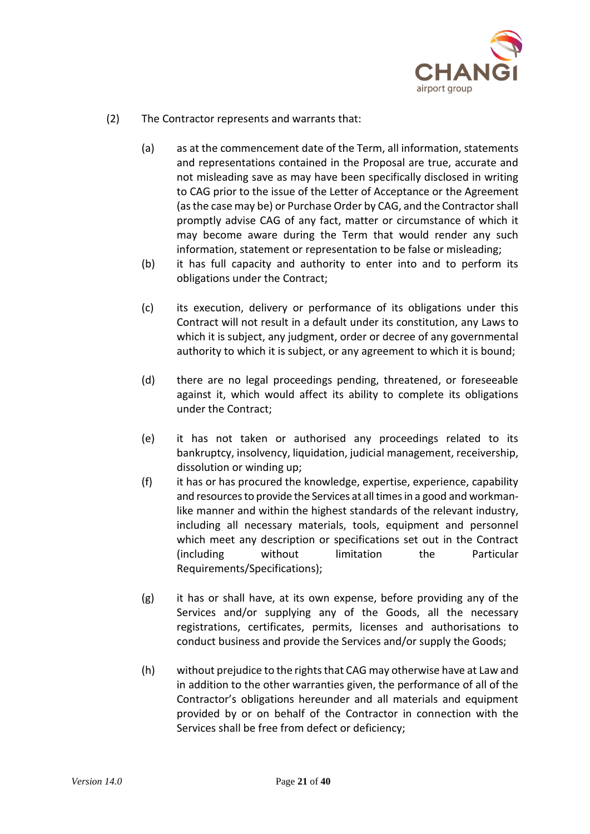

- (2) The Contractor represents and warrants that:
	- (a) as at the commencement date of the Term, all information, statements and representations contained in the Proposal are true, accurate and not misleading save as may have been specifically disclosed in writing to CAG prior to the issue of the Letter of Acceptance or the Agreement (as the case may be) or Purchase Order by CAG, and the Contractor shall promptly advise CAG of any fact, matter or circumstance of which it may become aware during the Term that would render any such information, statement or representation to be false or misleading;
	- (b) it has full capacity and authority to enter into and to perform its obligations under the Contract;
	- (c) its execution, delivery or performance of its obligations under this Contract will not result in a default under its constitution, any Laws to which it is subject, any judgment, order or decree of any governmental authority to which it is subject, or any agreement to which it is bound;
	- (d) there are no legal proceedings pending, threatened, or foreseeable against it, which would affect its ability to complete its obligations under the Contract;
	- (e) it has not taken or authorised any proceedings related to its bankruptcy, insolvency, liquidation, judicial management, receivership, dissolution or winding up;
	- (f) it has or has procured the knowledge, expertise, experience, capability and resources to provide the Services at all times in a good and workmanlike manner and within the highest standards of the relevant industry, including all necessary materials, tools, equipment and personnel which meet any description or specifications set out in the Contract (including without limitation the Particular Requirements/Specifications);
	- (g) it has or shall have, at its own expense, before providing any of the Services and/or supplying any of the Goods, all the necessary registrations, certificates, permits, licenses and authorisations to conduct business and provide the Services and/or supply the Goods;
	- (h) without prejudice to the rights that CAG may otherwise have at Law and in addition to the other warranties given, the performance of all of the Contractor's obligations hereunder and all materials and equipment provided by or on behalf of the Contractor in connection with the Services shall be free from defect or deficiency;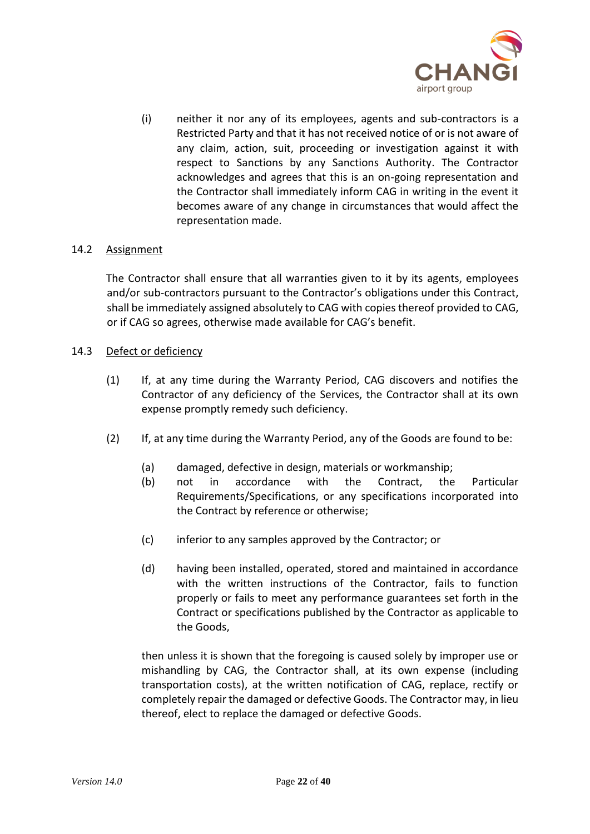

(i) neither it nor any of its employees, agents and sub-contractors is a Restricted Party and that it has not received notice of or is not aware of any claim, action, suit, proceeding or investigation against it with respect to Sanctions by any Sanctions Authority. The Contractor acknowledges and agrees that this is an on-going representation and the Contractor shall immediately inform CAG in writing in the event it becomes aware of any change in circumstances that would affect the representation made.

# 14.2 Assignment

The Contractor shall ensure that all warranties given to it by its agents, employees and/or sub-contractors pursuant to the Contractor's obligations under this Contract, shall be immediately assigned absolutely to CAG with copies thereof provided to CAG, or if CAG so agrees, otherwise made available for CAG's benefit.

# 14.3 Defect or deficiency

- (1) If, at any time during the Warranty Period, CAG discovers and notifies the Contractor of any deficiency of the Services, the Contractor shall at its own expense promptly remedy such deficiency.
- (2) If, at any time during the Warranty Period, any of the Goods are found to be:
	- (a) damaged, defective in design, materials or workmanship;
	- (b) not in accordance with the Contract, the Particular Requirements/Specifications, or any specifications incorporated into the Contract by reference or otherwise;
	- (c) inferior to any samples approved by the Contractor; or
	- (d) having been installed, operated, stored and maintained in accordance with the written instructions of the Contractor, fails to function properly or fails to meet any performance guarantees set forth in the Contract or specifications published by the Contractor as applicable to the Goods,

then unless it is shown that the foregoing is caused solely by improper use or mishandling by CAG, the Contractor shall, at its own expense (including transportation costs), at the written notification of CAG, replace, rectify or completely repair the damaged or defective Goods. The Contractor may, in lieu thereof, elect to replace the damaged or defective Goods.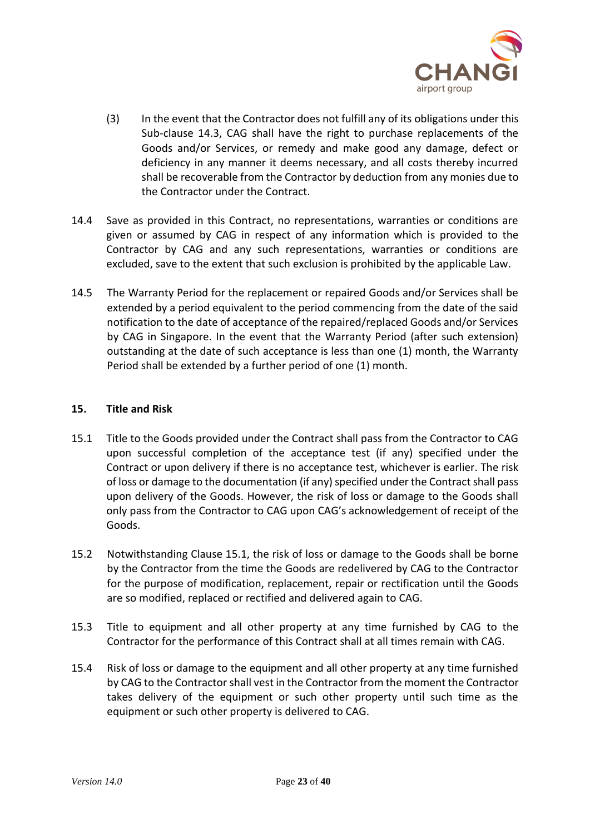

- (3) In the event that the Contractor does not fulfill any of its obligations under this Sub-clause 14.3, CAG shall have the right to purchase replacements of the Goods and/or Services, or remedy and make good any damage, defect or deficiency in any manner it deems necessary, and all costs thereby incurred shall be recoverable from the Contractor by deduction from any monies due to the Contractor under the Contract.
- 14.4 Save as provided in this Contract, no representations, warranties or conditions are given or assumed by CAG in respect of any information which is provided to the Contractor by CAG and any such representations, warranties or conditions are excluded, save to the extent that such exclusion is prohibited by the applicable Law.
- 14.5 The Warranty Period for the replacement or repaired Goods and/or Services shall be extended by a period equivalent to the period commencing from the date of the said notification to the date of acceptance of the repaired/replaced Goods and/or Services by CAG in Singapore. In the event that the Warranty Period (after such extension) outstanding at the date of such acceptance is less than one (1) month, the Warranty Period shall be extended by a further period of one (1) month.

# **15. Title and Risk**

- 15.1 Title to the Goods provided under the Contract shall pass from the Contractor to CAG upon successful completion of the acceptance test (if any) specified under the Contract or upon delivery if there is no acceptance test, whichever is earlier. The risk of loss or damage to the documentation (if any) specified under the Contract shall pass upon delivery of the Goods. However, the risk of loss or damage to the Goods shall only pass from the Contractor to CAG upon CAG's acknowledgement of receipt of the Goods.
- 15.2 Notwithstanding Clause 15.1, the risk of loss or damage to the Goods shall be borne by the Contractor from the time the Goods are redelivered by CAG to the Contractor for the purpose of modification, replacement, repair or rectification until the Goods are so modified, replaced or rectified and delivered again to CAG.
- 15.3 Title to equipment and all other property at any time furnished by CAG to the Contractor for the performance of this Contract shall at all times remain with CAG.
- 15.4 Risk of loss or damage to the equipment and all other property at any time furnished by CAG to the Contractor shall vest in the Contractor from the moment the Contractor takes delivery of the equipment or such other property until such time as the equipment or such other property is delivered to CAG.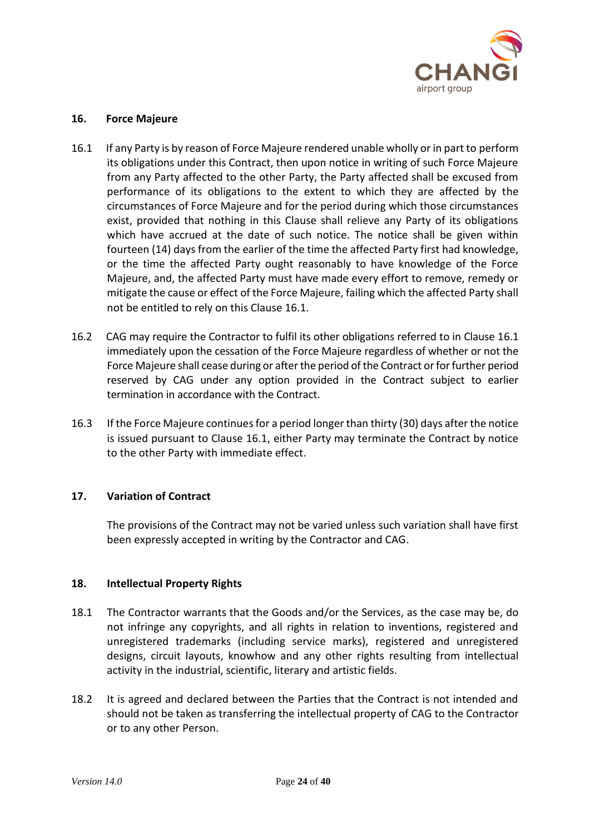

# **16. Force Majeure**

- 16.1 If any Party is by reason of Force Majeure rendered unable wholly or in part to perform its obligations under this Contract, then upon notice in writing of such Force Majeure from any Party affected to the other Party, the Party affected shall be excused from performance of its obligations to the extent to which they are affected by the circumstances of Force Majeure and for the period during which those circumstances exist, provided that nothing in this Clause shall relieve any Party of its obligations which have accrued at the date of such notice. The notice shall be given within fourteen (14) days from the earlier of the time the affected Party first had knowledge, or the time the affected Party ought reasonably to have knowledge of the Force Majeure, and, the affected Party must have made every effort to remove, remedy or mitigate the cause or effect of the Force Majeure, failing which the affected Party shall not be entitled to rely on this Clause 16.1.
- 16.2 CAG may require the Contractor to fulfil its other obligations referred to in Clause 16.1 immediately upon the cessation of the Force Majeure regardless of whether or not the Force Majeure shall cease during or after the period of the Contract or for further period reserved by CAG under any option provided in the Contract subject to earlier termination in accordance with the Contract.
- 16.3 If the Force Majeure continuesfor a period longer than thirty (30) days after the notice is issued pursuant to Clause 16.1, either Party may terminate the Contract by notice to the other Party with immediate effect.

# **17. Variation of Contract**

The provisions of the Contract may not be varied unless such variation shall have first been expressly accepted in writing by the Contractor and CAG.

# **18. Intellectual Property Rights**

- 18.1 The Contractor warrants that the Goods and/or the Services, as the case may be, do not infringe any copyrights, and all rights in relation to inventions, registered and unregistered trademarks (including service marks), registered and unregistered designs, circuit layouts, knowhow and any other rights resulting from intellectual activity in the industrial, scientific, literary and artistic fields.
- 18.2 It is agreed and declared between the Parties that the Contract is not intended and should not be taken as transferring the intellectual property of CAG to the Contractor or to any other Person.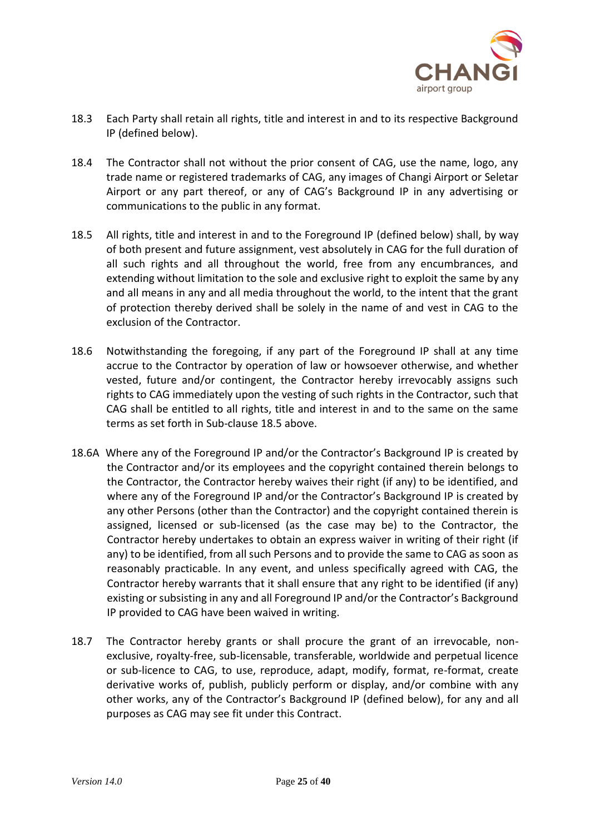

- 18.3 Each Party shall retain all rights, title and interest in and to its respective Background IP (defined below).
- 18.4 The Contractor shall not without the prior consent of CAG, use the name, logo, any trade name or registered trademarks of CAG, any images of Changi Airport or Seletar Airport or any part thereof, or any of CAG's Background IP in any advertising or communications to the public in any format.
- 18.5 All rights, title and interest in and to the Foreground IP (defined below) shall, by way of both present and future assignment, vest absolutely in CAG for the full duration of all such rights and all throughout the world, free from any encumbrances, and extending without limitation to the sole and exclusive right to exploit the same by any and all means in any and all media throughout the world, to the intent that the grant of protection thereby derived shall be solely in the name of and vest in CAG to the exclusion of the Contractor.
- 18.6 Notwithstanding the foregoing, if any part of the Foreground IP shall at any time accrue to the Contractor by operation of law or howsoever otherwise, and whether vested, future and/or contingent, the Contractor hereby irrevocably assigns such rights to CAG immediately upon the vesting of such rights in the Contractor, such that CAG shall be entitled to all rights, title and interest in and to the same on the same terms as set forth in Sub-clause 18.5 above.
- 18.6A Where any of the Foreground IP and/or the Contractor's Background IP is created by the Contractor and/or its employees and the copyright contained therein belongs to the Contractor, the Contractor hereby waives their right (if any) to be identified, and where any of the Foreground IP and/or the Contractor's Background IP is created by any other Persons (other than the Contractor) and the copyright contained therein is assigned, licensed or sub-licensed (as the case may be) to the Contractor, the Contractor hereby undertakes to obtain an express waiver in writing of their right (if any) to be identified, from all such Persons and to provide the same to CAG as soon as reasonably practicable. In any event, and unless specifically agreed with CAG, the Contractor hereby warrants that it shall ensure that any right to be identified (if any) existing or subsisting in any and all Foreground IP and/or the Contractor's Background IP provided to CAG have been waived in writing.
- 18.7 The Contractor hereby grants or shall procure the grant of an irrevocable, nonexclusive, royalty-free, sub-licensable, transferable, worldwide and perpetual licence or sub-licence to CAG, to use, reproduce, adapt, modify, format, re-format, create derivative works of, publish, publicly perform or display, and/or combine with any other works, any of the Contractor's Background IP (defined below), for any and all purposes as CAG may see fit under this Contract.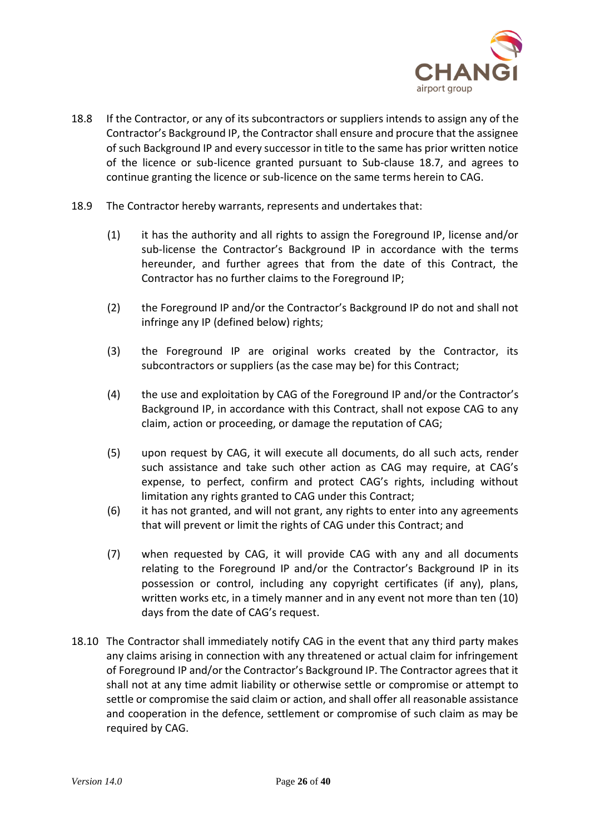

- 18.8 If the Contractor, or any of its subcontractors or suppliers intends to assign any of the Contractor's Background IP, the Contractor shall ensure and procure that the assignee of such Background IP and every successor in title to the same has prior written notice of the licence or sub-licence granted pursuant to Sub-clause 18.7, and agrees to continue granting the licence or sub-licence on the same terms herein to CAG.
- 18.9 The Contractor hereby warrants, represents and undertakes that:
	- (1) it has the authority and all rights to assign the Foreground IP, license and/or sub-license the Contractor's Background IP in accordance with the terms hereunder, and further agrees that from the date of this Contract, the Contractor has no further claims to the Foreground IP;
	- (2) the Foreground IP and/or the Contractor's Background IP do not and shall not infringe any IP (defined below) rights;
	- (3) the Foreground IP are original works created by the Contractor, its subcontractors or suppliers (as the case may be) for this Contract;
	- (4) the use and exploitation by CAG of the Foreground IP and/or the Contractor's Background IP, in accordance with this Contract, shall not expose CAG to any claim, action or proceeding, or damage the reputation of CAG;
	- (5) upon request by CAG, it will execute all documents, do all such acts, render such assistance and take such other action as CAG may require, at CAG's expense, to perfect, confirm and protect CAG's rights, including without limitation any rights granted to CAG under this Contract;
	- (6) it has not granted, and will not grant, any rights to enter into any agreements that will prevent or limit the rights of CAG under this Contract; and
	- (7) when requested by CAG, it will provide CAG with any and all documents relating to the Foreground IP and/or the Contractor's Background IP in its possession or control, including any copyright certificates (if any), plans, written works etc, in a timely manner and in any event not more than ten (10) days from the date of CAG's request.
- 18.10 The Contractor shall immediately notify CAG in the event that any third party makes any claims arising in connection with any threatened or actual claim for infringement of Foreground IP and/or the Contractor's Background IP. The Contractor agrees that it shall not at any time admit liability or otherwise settle or compromise or attempt to settle or compromise the said claim or action, and shall offer all reasonable assistance and cooperation in the defence, settlement or compromise of such claim as may be required by CAG.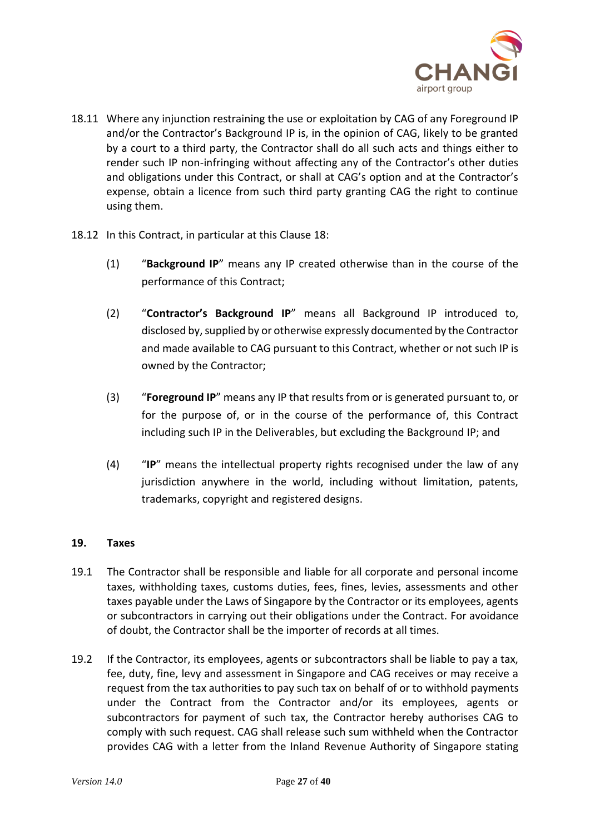

- 18.11 Where any injunction restraining the use or exploitation by CAG of any Foreground IP and/or the Contractor's Background IP is, in the opinion of CAG, likely to be granted by a court to a third party, the Contractor shall do all such acts and things either to render such IP non-infringing without affecting any of the Contractor's other duties and obligations under this Contract, or shall at CAG's option and at the Contractor's expense, obtain a licence from such third party granting CAG the right to continue using them.
- 18.12 In this Contract, in particular at this Clause 18:
	- (1) "**Background IP**" means any IP created otherwise than in the course of the performance of this Contract;
	- (2) "**Contractor's Background IP**" means all Background IP introduced to, disclosed by, supplied by or otherwise expressly documented by the Contractor and made available to CAG pursuant to this Contract, whether or not such IP is owned by the Contractor;
	- (3) "**Foreground IP**" means any IP that results from or is generated pursuant to, or for the purpose of, or in the course of the performance of, this Contract including such IP in the Deliverables, but excluding the Background IP; and
	- (4) "**IP**" means the intellectual property rights recognised under the law of any jurisdiction anywhere in the world, including without limitation, patents, trademarks, copyright and registered designs.

# **19. Taxes**

- 19.1 The Contractor shall be responsible and liable for all corporate and personal income taxes, withholding taxes, customs duties, fees, fines, levies, assessments and other taxes payable under the Laws of Singapore by the Contractor or its employees, agents or subcontractors in carrying out their obligations under the Contract. For avoidance of doubt, the Contractor shall be the importer of records at all times.
- 19.2 If the Contractor, its employees, agents or subcontractors shall be liable to pay a tax, fee, duty, fine, levy and assessment in Singapore and CAG receives or may receive a request from the tax authorities to pay such tax on behalf of or to withhold payments under the Contract from the Contractor and/or its employees, agents or subcontractors for payment of such tax, the Contractor hereby authorises CAG to comply with such request. CAG shall release such sum withheld when the Contractor provides CAG with a letter from the Inland Revenue Authority of Singapore stating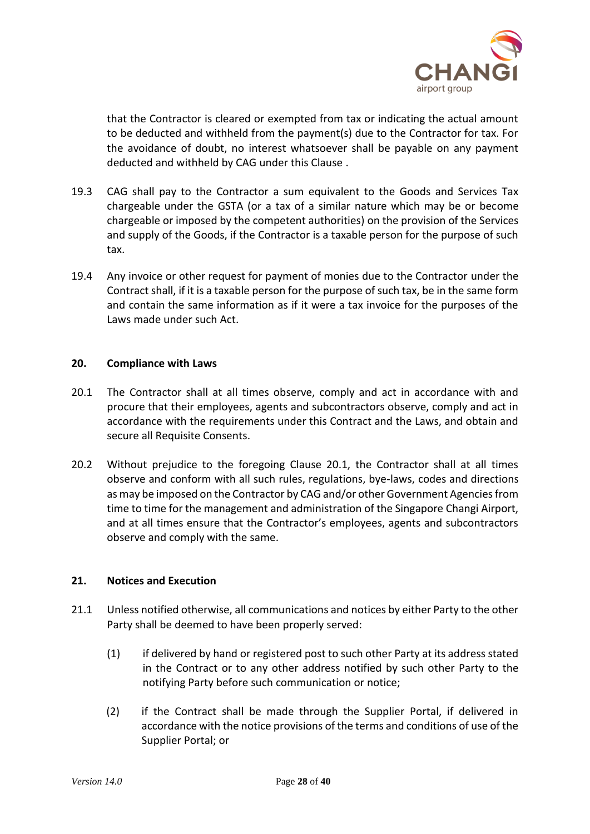

that the Contractor is cleared or exempted from tax or indicating the actual amount to be deducted and withheld from the payment(s) due to the Contractor for tax. For the avoidance of doubt, no interest whatsoever shall be payable on any payment deducted and withheld by CAG under this Clause .

- 19.3 CAG shall pay to the Contractor a sum equivalent to the Goods and Services Tax chargeable under the GSTA (or a tax of a similar nature which may be or become chargeable or imposed by the competent authorities) on the provision of the Services and supply of the Goods, if the Contractor is a taxable person for the purpose of such tax.
- 19.4 Any invoice or other request for payment of monies due to the Contractor under the Contract shall, if it is a taxable person for the purpose of such tax, be in the same form and contain the same information as if it were a tax invoice for the purposes of the Laws made under such Act.

# **20. Compliance with Laws**

- 20.1 The Contractor shall at all times observe, comply and act in accordance with and procure that their employees, agents and subcontractors observe, comply and act in accordance with the requirements under this Contract and the Laws, and obtain and secure all Requisite Consents.
- 20.2 Without prejudice to the foregoing Clause 20.1, the Contractor shall at all times observe and conform with all such rules, regulations, bye-laws, codes and directions as may be imposed on the Contractor by CAG and/or other Government Agencies from time to time for the management and administration of the Singapore Changi Airport, and at all times ensure that the Contractor's employees, agents and subcontractors observe and comply with the same.

# **21. Notices and Execution**

- 21.1 Unless notified otherwise, all communications and notices by either Party to the other Party shall be deemed to have been properly served:
	- (1) if delivered by hand or registered post to such other Party at its address stated in the Contract or to any other address notified by such other Party to the notifying Party before such communication or notice;
	- (2) if the Contract shall be made through the Supplier Portal, if delivered in accordance with the notice provisions of the terms and conditions of use of the Supplier Portal; or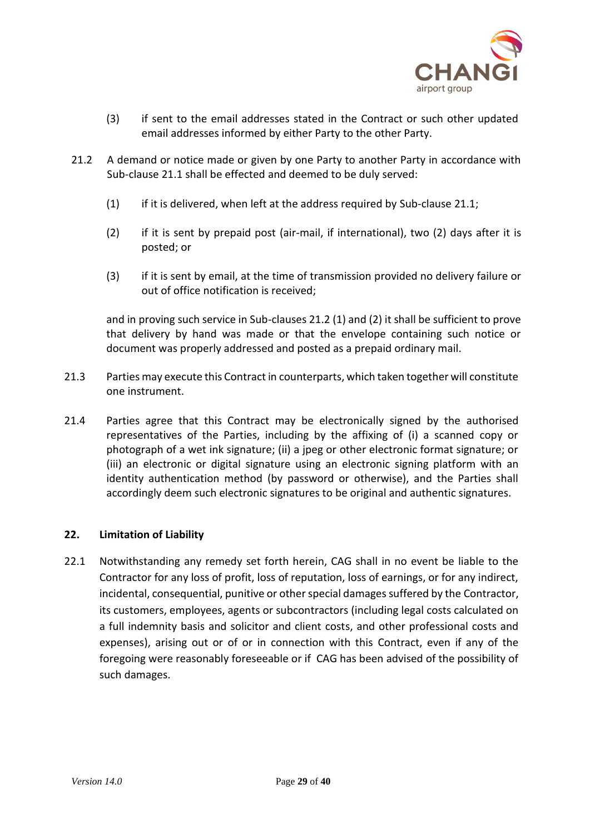

- (3) if sent to the email addresses stated in the Contract or such other updated email addresses informed by either Party to the other Party.
- 21.2 A demand or notice made or given by one Party to another Party in accordance with Sub-clause 21.1 shall be effected and deemed to be duly served:
	- (1) if it is delivered, when left at the address required by Sub-clause 21.1;
	- (2) if it is sent by prepaid post (air-mail, if international), two (2) days after it is posted; or
	- (3) if it is sent by email, at the time of transmission provided no delivery failure or out of office notification is received;

and in proving such service in Sub-clauses 21.2 (1) and (2) it shall be sufficient to prove that delivery by hand was made or that the envelope containing such notice or document was properly addressed and posted as a prepaid ordinary mail.

- 21.3 Parties may execute this Contract in counterparts, which taken together will constitute one instrument.
- 21.4 Parties agree that this Contract may be electronically signed by the authorised representatives of the Parties, including by the affixing of (i) a scanned copy or photograph of a wet ink signature; (ii) a jpeg or other electronic format signature; or (iii) an electronic or digital signature using an electronic signing platform with an identity authentication method (by password or otherwise), and the Parties shall accordingly deem such electronic signatures to be original and authentic signatures.

# **22. Limitation of Liability**

22.1 Notwithstanding any remedy set forth herein, CAG shall in no event be liable to the Contractor for any loss of profit, loss of reputation, loss of earnings, or for any indirect, incidental, consequential, punitive or other special damages suffered by the Contractor, its customers, employees, agents or subcontractors (including legal costs calculated on a full indemnity basis and solicitor and client costs, and other professional costs and expenses), arising out or of or in connection with this Contract, even if any of the foregoing were reasonably foreseeable or if CAG has been advised of the possibility of such damages.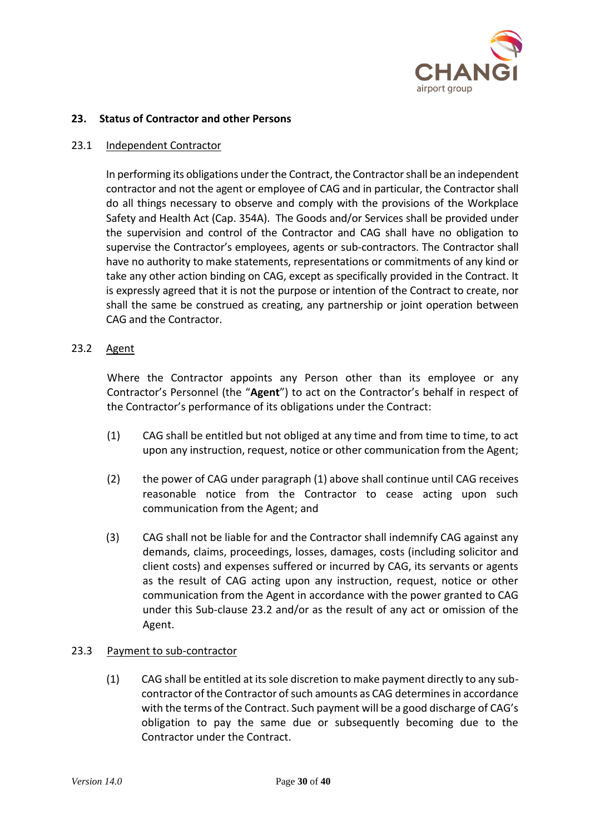

# **23. Status of Contractor and other Persons**

### 23.1 Independent Contractor

In performing its obligations under the Contract, the Contractor shall be an independent contractor and not the agent or employee of CAG and in particular, the Contractor shall do all things necessary to observe and comply with the provisions of the Workplace Safety and Health Act (Cap. 354A). The Goods and/or Services shall be provided under the supervision and control of the Contractor and CAG shall have no obligation to supervise the Contractor's employees, agents or sub-contractors. The Contractor shall have no authority to make statements, representations or commitments of any kind or take any other action binding on CAG, except as specifically provided in the Contract. It is expressly agreed that it is not the purpose or intention of the Contract to create, nor shall the same be construed as creating, any partnership or joint operation between CAG and the Contractor.

# 23.2 Agent

Where the Contractor appoints any Person other than its employee or any Contractor's Personnel (the "**Agent**") to act on the Contractor's behalf in respect of the Contractor's performance of its obligations under the Contract:

- (1) CAG shall be entitled but not obliged at any time and from time to time, to act upon any instruction, request, notice or other communication from the Agent;
- (2) the power of CAG under paragraph (1) above shall continue until CAG receives reasonable notice from the Contractor to cease acting upon such communication from the Agent; and
- (3) CAG shall not be liable for and the Contractor shall indemnify CAG against any demands, claims, proceedings, losses, damages, costs (including solicitor and client costs) and expenses suffered or incurred by CAG, its servants or agents as the result of CAG acting upon any instruction, request, notice or other communication from the Agent in accordance with the power granted to CAG under this Sub-clause 23.2 and/or as the result of any act or omission of the Agent.

# 23.3 Payment to sub-contractor

(1) CAG shall be entitled at its sole discretion to make payment directly to any subcontractor of the Contractor of such amounts as CAG determines in accordance with the terms of the Contract. Such payment will be a good discharge of CAG's obligation to pay the same due or subsequently becoming due to the Contractor under the Contract.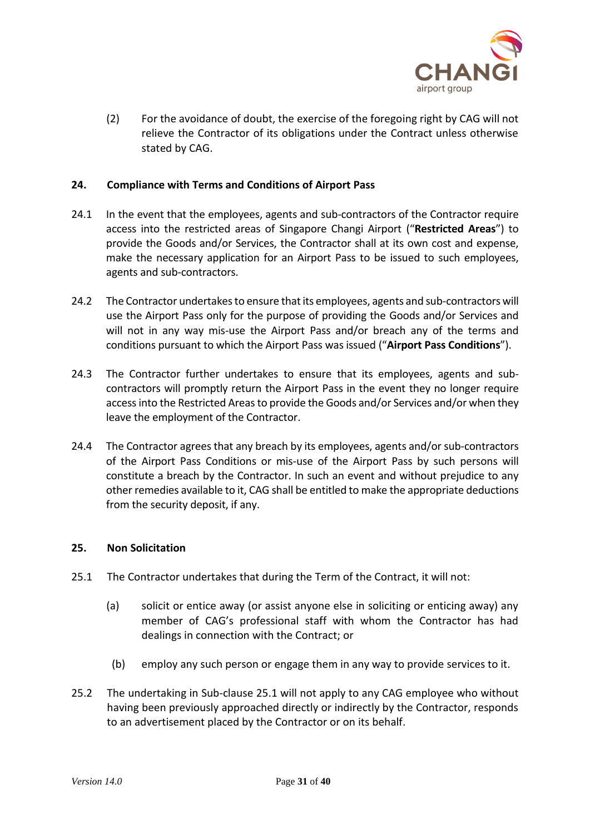

(2) For the avoidance of doubt, the exercise of the foregoing right by CAG will not relieve the Contractor of its obligations under the Contract unless otherwise stated by CAG.

# **24. Compliance with Terms and Conditions of Airport Pass**

- 24.1 In the event that the employees, agents and sub-contractors of the Contractor require access into the restricted areas of Singapore Changi Airport ("**Restricted Areas**") to provide the Goods and/or Services, the Contractor shall at its own cost and expense, make the necessary application for an Airport Pass to be issued to such employees, agents and sub-contractors.
- 24.2 The Contractor undertakes to ensure that its employees, agents and sub-contractors will use the Airport Pass only for the purpose of providing the Goods and/or Services and will not in any way mis-use the Airport Pass and/or breach any of the terms and conditions pursuant to which the Airport Pass was issued ("**Airport Pass Conditions**").
- 24.3 The Contractor further undertakes to ensure that its employees, agents and subcontractors will promptly return the Airport Pass in the event they no longer require access into the Restricted Areas to provide the Goods and/or Services and/or when they leave the employment of the Contractor.
- 24.4 The Contractor agrees that any breach by its employees, agents and/or sub-contractors of the Airport Pass Conditions or mis-use of the Airport Pass by such persons will constitute a breach by the Contractor. In such an event and without prejudice to any other remedies available to it, CAG shall be entitled to make the appropriate deductions from the security deposit, if any.

# **25. Non Solicitation**

- 25.1 The Contractor undertakes that during the Term of the Contract, it will not:
	- (a) solicit or entice away (or assist anyone else in soliciting or enticing away) any member of CAG's professional staff with whom the Contractor has had dealings in connection with the Contract; or
	- (b) employ any such person or engage them in any way to provide services to it.
- 25.2 The undertaking in Sub-clause 25.1 will not apply to any CAG employee who without having been previously approached directly or indirectly by the Contractor, responds to an advertisement placed by the Contractor or on its behalf.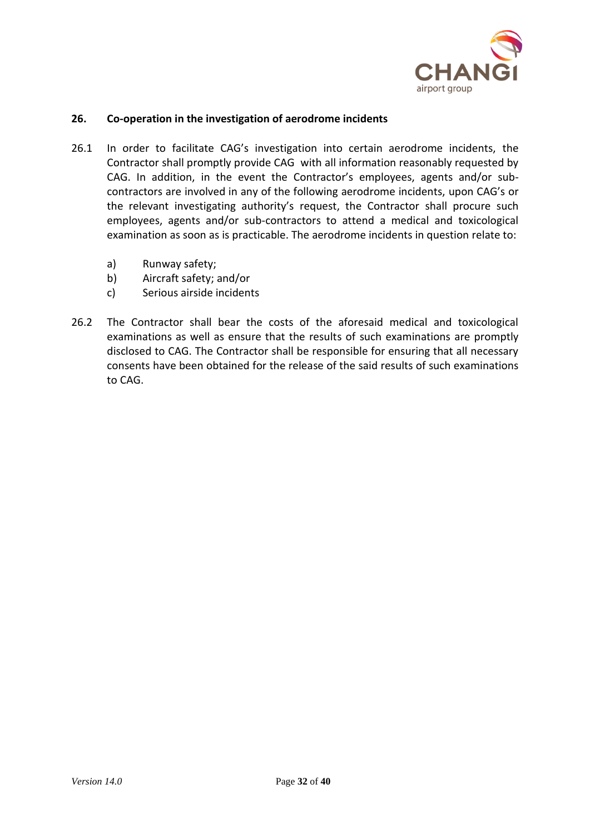

# **26. Co-operation in the investigation of aerodrome incidents**

- 26.1 In order to facilitate CAG's investigation into certain aerodrome incidents, the Contractor shall promptly provide CAG with all information reasonably requested by CAG. In addition, in the event the Contractor's employees, agents and/or subcontractors are involved in any of the following aerodrome incidents, upon CAG's or the relevant investigating authority's request, the Contractor shall procure such employees, agents and/or sub-contractors to attend a medical and toxicological examination as soon as is practicable. The aerodrome incidents in question relate to:
	- a) Runway safety;
	- b) Aircraft safety; and/or
	- c) Serious airside incidents
- 26.2 The Contractor shall bear the costs of the aforesaid medical and toxicological examinations as well as ensure that the results of such examinations are promptly disclosed to CAG. The Contractor shall be responsible for ensuring that all necessary consents have been obtained for the release of the said results of such examinations to CAG.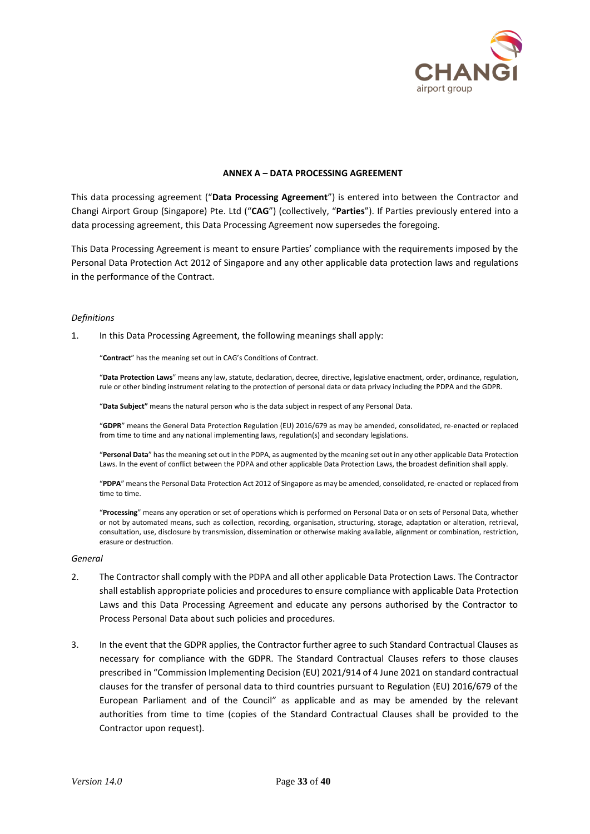

#### **ANNEX A – DATA PROCESSING AGREEMENT**

This data processing agreement ("**Data Processing Agreement**") is entered into between the Contractor and Changi Airport Group (Singapore) Pte. Ltd ("**CAG**") (collectively, "**Parties**"). If Parties previously entered into a data processing agreement, this Data Processing Agreement now supersedes the foregoing.

This Data Processing Agreement is meant to ensure Parties' compliance with the requirements imposed by the Personal Data Protection Act 2012 of Singapore and any other applicable data protection laws and regulations in the performance of the Contract.

#### *Definitions*

1. In this Data Processing Agreement, the following meanings shall apply:

"**Contract**" has the meaning set out in CAG's Conditions of Contract.

"**Data Protection Laws**" means any law, statute, declaration, decree, directive, legislative enactment, order, ordinance, regulation, rule or other binding instrument relating to the protection of personal data or data privacy including the PDPA and the GDPR.

"**Data Subject"** means the natural person who is the data subject in respect of any Personal Data.

"**GDPR**" means the General Data Protection Regulation (EU) 2016/679 as may be amended, consolidated, re-enacted or replaced from time to time and any national implementing laws, regulation(s) and secondary legislations.

"**Personal Data**" has the meaning set out in the PDPA, as augmented by the meaning set out in any other applicable Data Protection Laws. In the event of conflict between the PDPA and other applicable Data Protection Laws, the broadest definition shall apply.

"**PDPA**" means the Personal Data Protection Act 2012 of Singapore as may be amended, consolidated, re-enacted or replaced from time to time.

"**Processing**" means any operation or set of operations which is performed on Personal Data or on sets of Personal Data, whether or not by automated means, such as collection, recording, organisation, structuring, storage, adaptation or alteration, retrieval, consultation, use, disclosure by transmission, dissemination or otherwise making available, alignment or combination, restriction, erasure or destruction.

#### *General*

- 2. The Contractor shall comply with the PDPA and all other applicable Data Protection Laws. The Contractor shall establish appropriate policies and procedures to ensure compliance with applicable Data Protection Laws and this Data Processing Agreement and educate any persons authorised by the Contractor to Process Personal Data about such policies and procedures.
- 3. In the event that the GDPR applies, the Contractor further agree to such Standard Contractual Clauses as necessary for compliance with the GDPR. The Standard Contractual Clauses refers to those clauses prescribed in "Commission Implementing Decision (EU) 2021/914 of 4 June 2021 on standard contractual clauses for the transfer of personal data to third countries pursuant to Regulation (EU) 2016/679 of the European Parliament and of the Council" as applicable and as may be amended by the relevant authorities from time to time (copies of the Standard Contractual Clauses shall be provided to the Contractor upon request).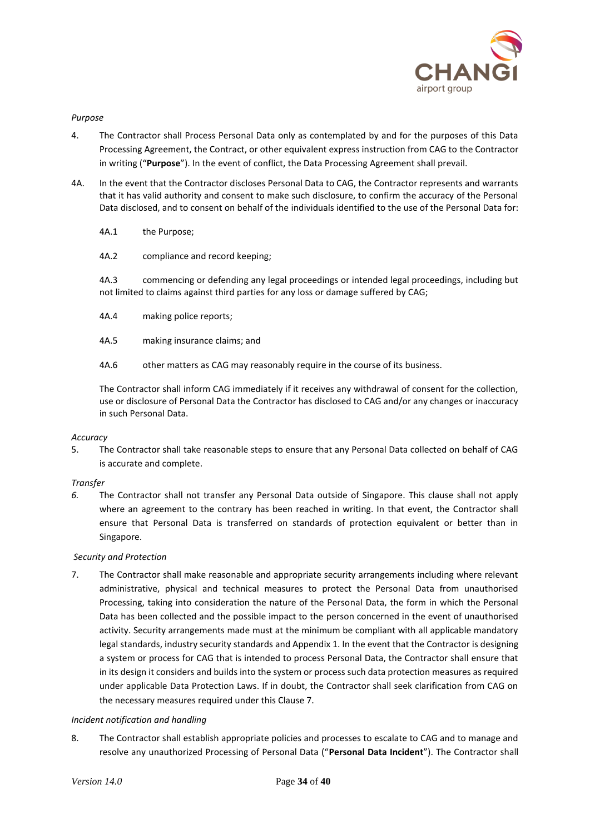

### *Purpose*

- 4. The Contractor shall Process Personal Data only as contemplated by and for the purposes of this Data Processing Agreement, the Contract, or other equivalent express instruction from CAG to the Contractor in writing ("**Purpose**"). In the event of conflict, the Data Processing Agreement shall prevail.
- 4A. In the event that the Contractor discloses Personal Data to CAG, the Contractor represents and warrants that it has valid authority and consent to make such disclosure, to confirm the accuracy of the Personal Data disclosed, and to consent on behalf of the individuals identified to the use of the Personal Data for:
	- 4A.1 the Purpose;
	- 4A.2 compliance and record keeping;

4A.3 commencing or defending any legal proceedings or intended legal proceedings, including but not limited to claims against third parties for any loss or damage suffered by CAG;

- 4A.4 making police reports;
- 4A.5 making insurance claims; and
- 4A.6 other matters as CAG may reasonably require in the course of its business.

The Contractor shall inform CAG immediately if it receives any withdrawal of consent for the collection, use or disclosure of Personal Data the Contractor has disclosed to CAG and/or any changes or inaccuracy in such Personal Data.

### *Accuracy*

5. The Contractor shall take reasonable steps to ensure that any Personal Data collected on behalf of CAG is accurate and complete.

### *Transfer*

*6.* The Contractor shall not transfer any Personal Data outside of Singapore. This clause shall not apply where an agreement to the contrary has been reached in writing. In that event, the Contractor shall ensure that Personal Data is transferred on standards of protection equivalent or better than in Singapore.

### *Security and Protection*

7. The Contractor shall make reasonable and appropriate security arrangements including where relevant administrative, physical and technical measures to protect the Personal Data from unauthorised Processing, taking into consideration the nature of the Personal Data, the form in which the Personal Data has been collected and the possible impact to the person concerned in the event of unauthorised activity. Security arrangements made must at the minimum be compliant with all applicable mandatory legal standards, industry security standards and Appendix 1. In the event that the Contractor is designing a system or process for CAG that is intended to process Personal Data, the Contractor shall ensure that in its design it considers and builds into the system or process such data protection measures as required under applicable Data Protection Laws. If in doubt, the Contractor shall seek clarification from CAG on the necessary measures required under this Clause 7.

### *Incident notification and handling*

8. The Contractor shall establish appropriate policies and processes to escalate to CAG and to manage and resolve any unauthorized Processing of Personal Data ("**Personal Data Incident**"). The Contractor shall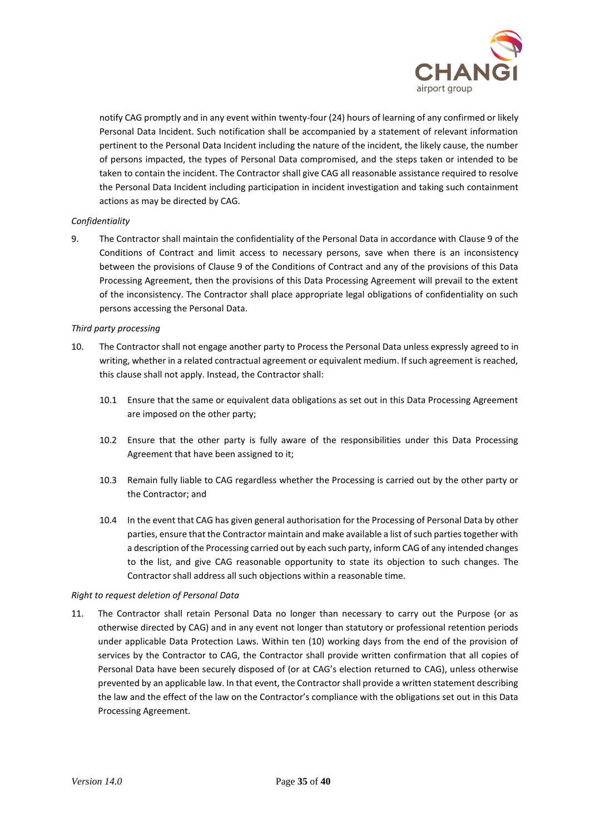

notify CAG promptly and in any event within twenty-four (24) hours of learning of any confirmed or likely Personal Data Incident. Such notification shall be accompanied by a statement of relevant information pertinent to the Personal Data Incident including the nature of the incident, the likely cause, the number of persons impacted, the types of Personal Data compromised, and the steps taken or intended to be taken to contain the incident. The Contractor shall give CAG all reasonable assistance required to resolve the Personal Data Incident including participation in incident investigation and taking such containment actions as may be directed by CAG.

### *Confidentiality*

9. The Contractor shall maintain the confidentiality of the Personal Data in accordance with Clause 9 of the Conditions of Contract and limit access to necessary persons, save when there is an inconsistency between the provisions of Clause 9 of the Conditions of Contract and any of the provisions of this Data Processing Agreement, then the provisions of this Data Processing Agreement will prevail to the extent of the inconsistency. The Contractor shall place appropriate legal obligations of confidentiality on such persons accessing the Personal Data.

### *Third party processing*

- 10. The Contractor shall not engage another party to Process the Personal Data unless expressly agreed to in writing, whether in a related contractual agreement or equivalent medium. If such agreement is reached, this clause shall not apply. Instead, the Contractor shall:
	- 10.1 Ensure that the same or equivalent data obligations as set out in this Data Processing Agreement are imposed on the other party;
	- 10.2 Ensure that the other party is fully aware of the responsibilities under this Data Processing Agreement that have been assigned to it;
	- 10.3 Remain fully liable to CAG regardless whether the Processing is carried out by the other party or the Contractor; and
	- 10.4 In the event that CAG has given general authorisation for the Processing of Personal Data by other parties, ensure that the Contractor maintain and make available a list of such parties together with a description of the Processing carried out by each such party, inform CAG of any intended changes to the list, and give CAG reasonable opportunity to state its objection to such changes. The Contractor shall address all such objections within a reasonable time.

### *Right to request deletion of Personal Data*

11. The Contractor shall retain Personal Data no longer than necessary to carry out the Purpose (or as otherwise directed by CAG) and in any event not longer than statutory or professional retention periods under applicable Data Protection Laws. Within ten (10) working days from the end of the provision of services by the Contractor to CAG, the Contractor shall provide written confirmation that all copies of Personal Data have been securely disposed of (or at CAG's election returned to CAG), unless otherwise prevented by an applicable law. In that event, the Contractor shall provide a written statement describing the law and the effect of the law on the Contractor's compliance with the obligations set out in this Data Processing Agreement.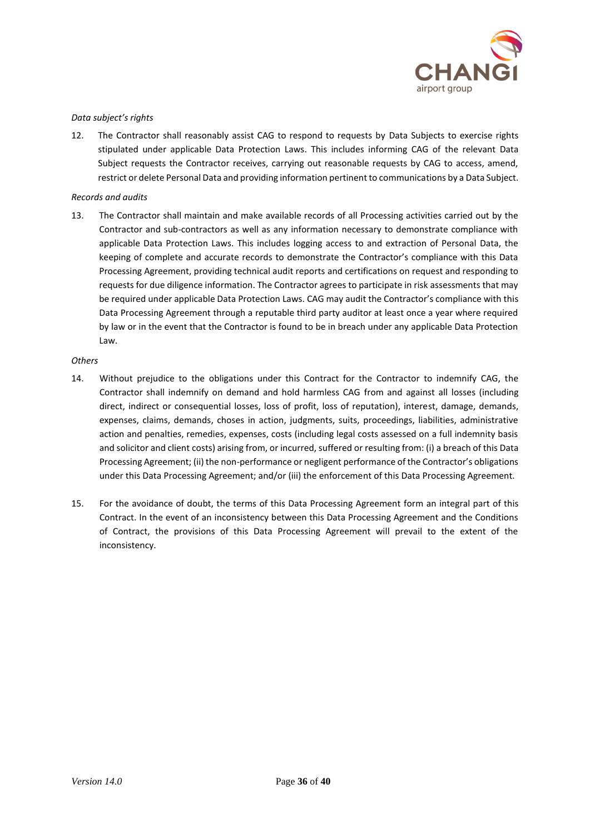

### *Data subject's rights*

12. The Contractor shall reasonably assist CAG to respond to requests by Data Subjects to exercise rights stipulated under applicable Data Protection Laws. This includes informing CAG of the relevant Data Subject requests the Contractor receives, carrying out reasonable requests by CAG to access, amend, restrict or delete Personal Data and providing information pertinent to communications by a Data Subject.

### *Records and audits*

13. The Contractor shall maintain and make available records of all Processing activities carried out by the Contractor and sub-contractors as well as any information necessary to demonstrate compliance with applicable Data Protection Laws. This includes logging access to and extraction of Personal Data, the keeping of complete and accurate records to demonstrate the Contractor's compliance with this Data Processing Agreement, providing technical audit reports and certifications on request and responding to requests for due diligence information. The Contractor agrees to participate in risk assessments that may be required under applicable Data Protection Laws. CAG may audit the Contractor's compliance with this Data Processing Agreement through a reputable third party auditor at least once a year where required by law or in the event that the Contractor is found to be in breach under any applicable Data Protection Law.

### *Others*

- 14. Without prejudice to the obligations under this Contract for the Contractor to indemnify CAG, the Contractor shall indemnify on demand and hold harmless CAG from and against all losses (including direct, indirect or consequential losses, loss of profit, loss of reputation), interest, damage, demands, expenses, claims, demands, choses in action, judgments, suits, proceedings, liabilities, administrative action and penalties, remedies, expenses, costs (including legal costs assessed on a full indemnity basis and solicitor and client costs) arising from, or incurred, suffered or resulting from: (i) a breach of this Data Processing Agreement; (ii) the non-performance or negligent performance of the Contractor's obligations under this Data Processing Agreement; and/or (iii) the enforcement of this Data Processing Agreement.
- 15. For the avoidance of doubt, the terms of this Data Processing Agreement form an integral part of this Contract. In the event of an inconsistency between this Data Processing Agreement and the Conditions of Contract, the provisions of this Data Processing Agreement will prevail to the extent of the inconsistency.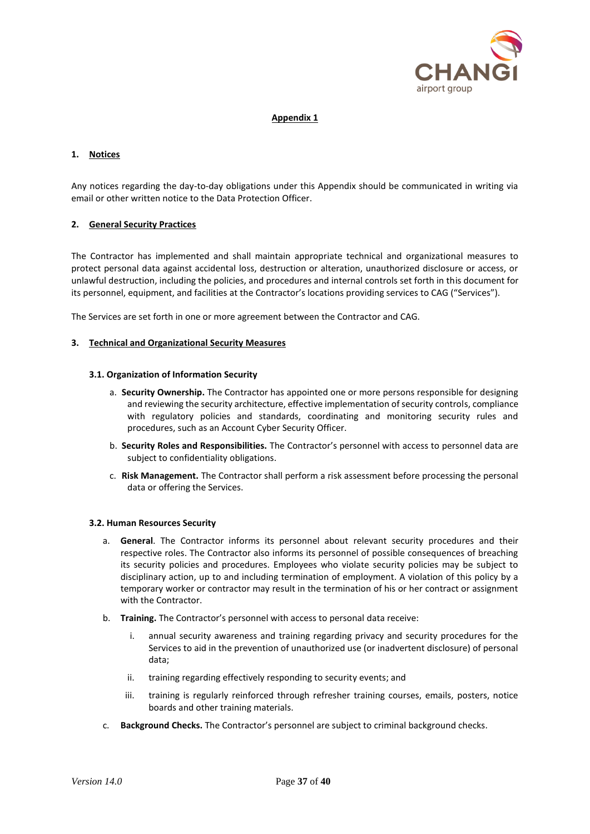

### **Appendix 1**

### **1. Notices**

Any notices regarding the day-to-day obligations under this Appendix should be communicated in writing via email or other written notice to the Data Protection Officer.

### **2. General Security Practices**

The Contractor has implemented and shall maintain appropriate technical and organizational measures to protect personal data against accidental loss, destruction or alteration, unauthorized disclosure or access, or unlawful destruction, including the policies, and procedures and internal controls set forth in this document for its personnel, equipment, and facilities at the Contractor's locations providing services to CAG ("Services").

The Services are set forth in one or more agreement between the Contractor and CAG.

#### **3. Technical and Organizational Security Measures**

#### **3.1. Organization of Information Security**

- a. **Security Ownership.** The Contractor has appointed one or more persons responsible for designing and reviewing the security architecture, effective implementation of security controls, compliance with regulatory policies and standards, coordinating and monitoring security rules and procedures, such as an Account Cyber Security Officer.
- b. **Security Roles and Responsibilities.** The Contractor's personnel with access to personnel data are subject to confidentiality obligations.
- c. **Risk Management.** The Contractor shall perform a risk assessment before processing the personal data or offering the Services.

#### **3.2. Human Resources Security**

- a. **General**. The Contractor informs its personnel about relevant security procedures and their respective roles. The Contractor also informs its personnel of possible consequences of breaching its security policies and procedures. Employees who violate security policies may be subject to disciplinary action, up to and including termination of employment. A violation of this policy by a temporary worker or contractor may result in the termination of his or her contract or assignment with the Contractor.
- b. **Training.** The Contractor's personnel with access to personal data receive:
	- i. annual security awareness and training regarding privacy and security procedures for the Services to aid in the prevention of unauthorized use (or inadvertent disclosure) of personal data;
	- ii. training regarding effectively responding to security events; and
	- iii. training is regularly reinforced through refresher training courses, emails, posters, notice boards and other training materials.
- c. **Background Checks.** The Contractor's personnel are subject to criminal background checks.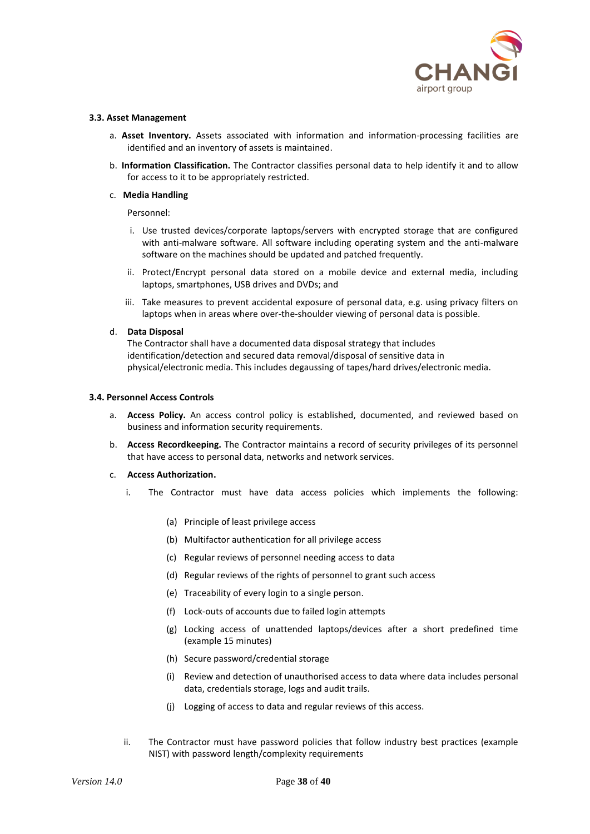

#### **3.3. Asset Management**

- a. **Asset Inventory.** Assets associated with information and information-processing facilities are identified and an inventory of assets is maintained.
- b. **Information Classification.** The Contractor classifies personal data to help identify it and to allow for access to it to be appropriately restricted.

#### c. **Media Handling**

#### Personnel:

- i. Use trusted devices/corporate laptops/servers with encrypted storage that are configured with anti-malware software. All software including operating system and the anti-malware software on the machines should be updated and patched frequently.
- ii. Protect/Encrypt personal data stored on a mobile device and external media, including laptops, smartphones, USB drives and DVDs; and
- iii. Take measures to prevent accidental exposure of personal data, e.g. using privacy filters on laptops when in areas where over-the-shoulder viewing of personal data is possible.

#### d. **Data Disposal**

The Contractor shall have a documented data disposal strategy that includes identification/detection and secured data removal/disposal of sensitive data in physical/electronic media. This includes degaussing of tapes/hard drives/electronic media.

#### **3.4. Personnel Access Controls**

- a. **Access Policy.** An access control policy is established, documented, and reviewed based on business and information security requirements.
- b. **Access Recordkeeping.** The Contractor maintains a record of security privileges of its personnel that have access to personal data, networks and network services.

### c. **Access Authorization.**

- i. The Contractor must have data access policies which implements the following:
	- (a) Principle of least privilege access
	- (b) Multifactor authentication for all privilege access
	- (c) Regular reviews of personnel needing access to data
	- (d) Regular reviews of the rights of personnel to grant such access
	- (e) Traceability of every login to a single person.
	- (f) Lock-outs of accounts due to failed login attempts
	- (g) Locking access of unattended laptops/devices after a short predefined time (example 15 minutes)
	- (h) Secure password/credential storage
	- (i) Review and detection of unauthorised access to data where data includes personal data, credentials storage, logs and audit trails.
	- (j) Logging of access to data and regular reviews of this access.
- ii. The Contractor must have password policies that follow industry best practices (example NIST) with password length/complexity requirements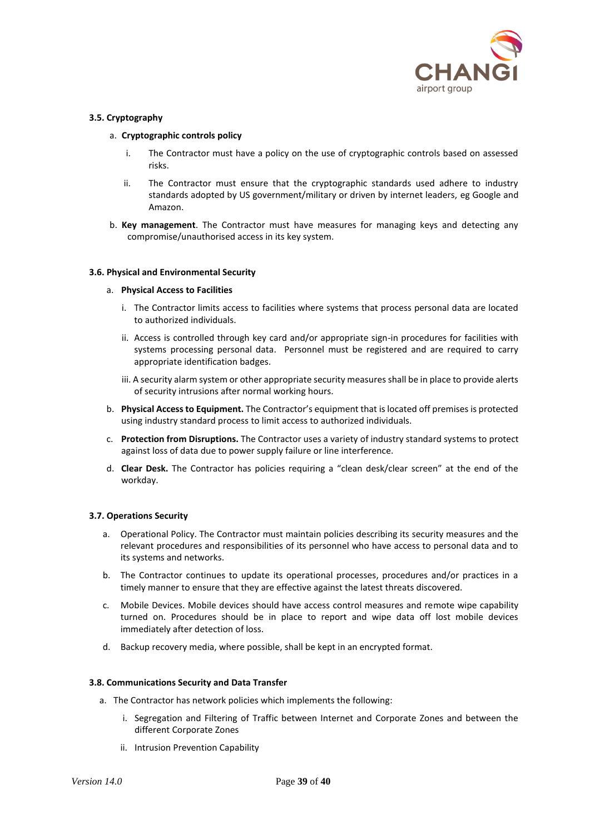

### **3.5. Cryptography**

### a. **Cryptographic controls policy**

- i. The Contractor must have a policy on the use of cryptographic controls based on assessed risks.
- ii. The Contractor must ensure that the cryptographic standards used adhere to industry standards adopted by US government/military or driven by internet leaders, eg Google and Amazon.
- b. **Key management**. The Contractor must have measures for managing keys and detecting any compromise/unauthorised access in its key system.

### **3.6. Physical and Environmental Security**

#### a. **Physical Access to Facilities**

- i. The Contractor limits access to facilities where systems that process personal data are located to authorized individuals.
- ii. Access is controlled through key card and/or appropriate sign-in procedures for facilities with systems processing personal data. Personnel must be registered and are required to carry appropriate identification badges.
- iii. A security alarm system or other appropriate security measures shall be in place to provide alerts of security intrusions after normal working hours.
- b. **Physical Access to Equipment.** The Contractor's equipment that is located off premises is protected using industry standard process to limit access to authorized individuals.
- c. **Protection from Disruptions.** The Contractor uses a variety of industry standard systems to protect against loss of data due to power supply failure or line interference.
- d. **Clear Desk.** The Contractor has policies requiring a "clean desk/clear screen" at the end of the workday.

### **3.7. Operations Security**

- a. Operational Policy. The Contractor must maintain policies describing its security measures and the relevant procedures and responsibilities of its personnel who have access to personal data and to its systems and networks.
- b. The Contractor continues to update its operational processes, procedures and/or practices in a timely manner to ensure that they are effective against the latest threats discovered.
- c. Mobile Devices. Mobile devices should have access control measures and remote wipe capability turned on. Procedures should be in place to report and wipe data off lost mobile devices immediately after detection of loss.
- d. Backup recovery media, where possible, shall be kept in an encrypted format.

#### **3.8. Communications Security and Data Transfer**

- a. The Contractor has network policies which implements the following:
	- i. Segregation and Filtering of Traffic between Internet and Corporate Zones and between the different Corporate Zones
	- ii. Intrusion Prevention Capability